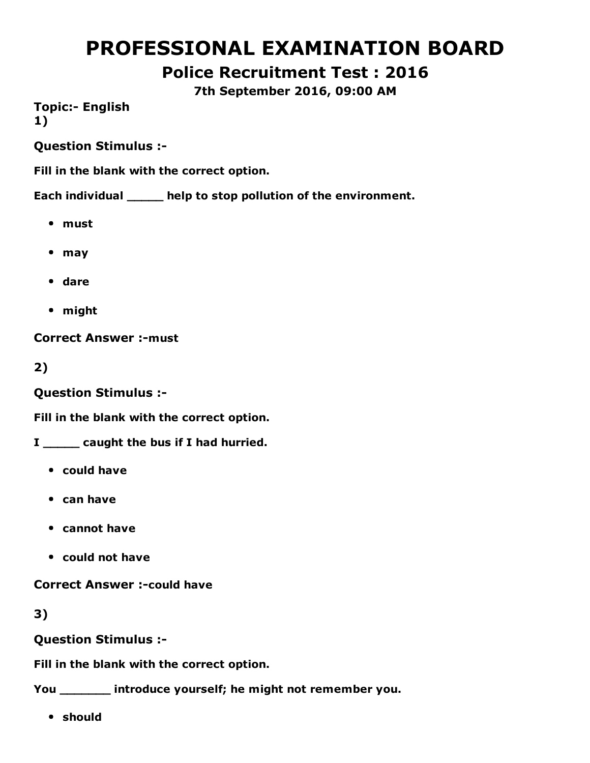# PROFESSIONAL EXAMINATION BOARD

Police Recruitment Test : 2016

7th September 2016, 09:00 AM

**Topic:- English** 1)

Question Stimulus :

Fill in the blank with the correct option.

Each individual \_\_\_\_\_ help to stop pollution of the environment.

- must
- may
- dare
- might

**Correct Answer :- must** 

2)

Question Stimulus :

Fill in the blank with the correct option.

I \_\_\_\_\_\_ caught the bus if I had hurried.

- could have
- can have
- cannot have
- could not have

**Correct Answer :- could have** 

3)

Question Stimulus :

Fill in the blank with the correct option.

You \_\_\_\_\_\_\_ introduce yourself; he might not remember you.

• should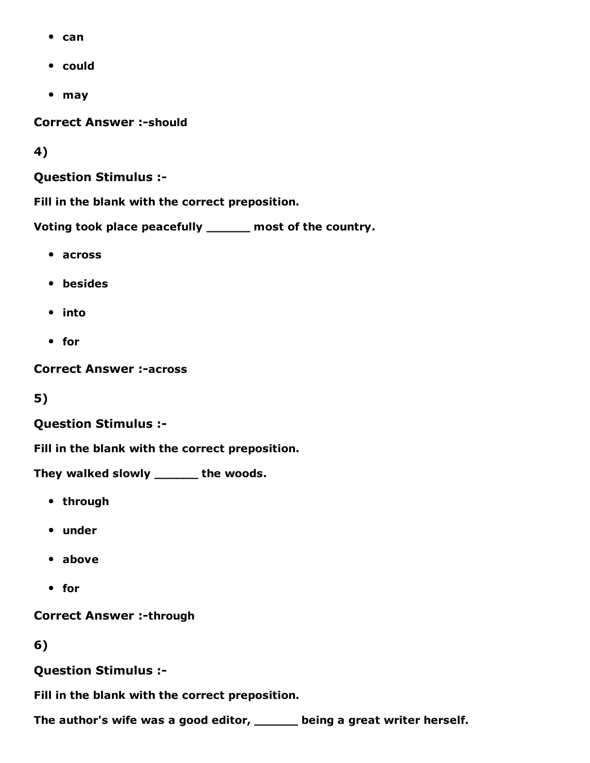- $\bullet$  can
- could
- may

**Correct Answer :- should** 

4)

#### Question Stimulus :

Fill in the blank with the correct preposition.

Voting took place peacefully \_\_\_\_\_\_ most of the country.

- across
- besides
- into
- for

**Correct Answer :-across** 

5)

#### Question Stimulus :

Fill in the blank with the correct preposition.

They walked slowly \_\_\_\_\_\_ the woods.

- through
- under
- above
- for

**Correct Answer :-through** 

6)

Question Stimulus :

Fill in the blank with the correct preposition.

The author's wife was a good editor, \_\_\_\_\_\_ being a great writer herself.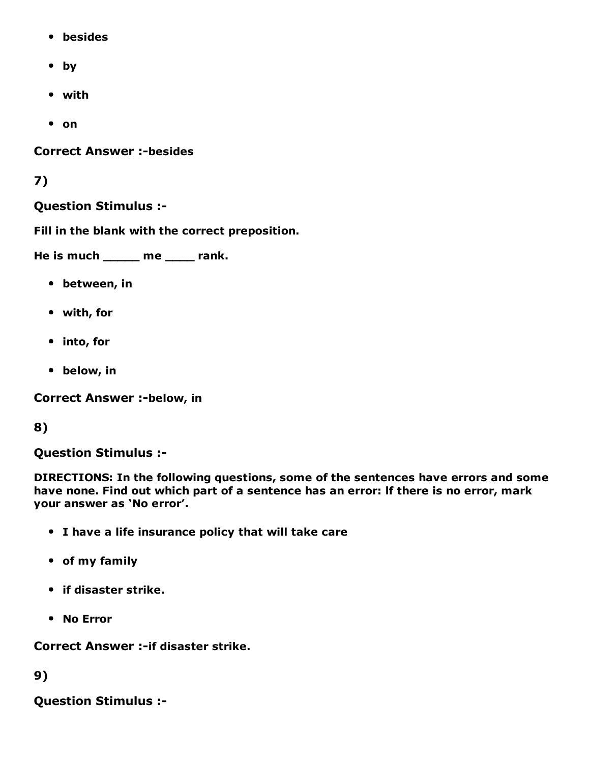- besides
- by
- with
- on

**Correct Answer :-besides** 

#### 7)

#### Question Stimulus :

Fill in the blank with the correct preposition.

He is much \_\_\_\_\_ me \_\_\_\_ rank.

- between, in
- with, for
- into, for
- below, in

**Correct Answer :-below, in** 

#### 8)

Question Stimulus :

DIRECTIONS: In the following questions, some of the sentences have errors and some have none. Find out which part of a sentence has an error: lf there is no error, mark your answer as 'No error'.

- I have a life insurance policy that will take care
- of my family
- if disaster strike.
- No Error

**Correct Answer :- if disaster strike.** 

9)

Question Stimulus :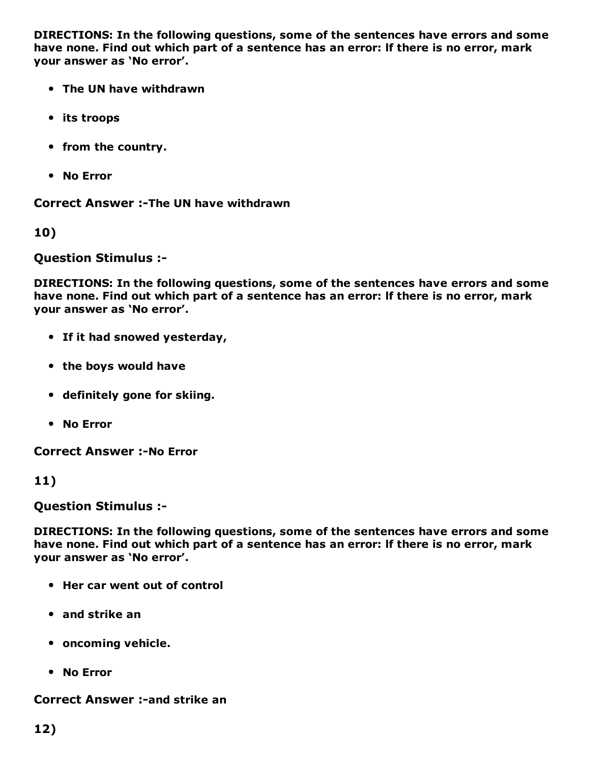DIRECTIONS: In the following questions, some of the sentences have errors and some have none. Find out which part of a sentence has an error: lf there is no error, mark your answer as 'No error'.

- The UN have withdrawn
- its troops
- from the country.
- No Error

Correct Answer :-The UN have withdrawn

10)

Question Stimulus :

DIRECTIONS: In the following questions, some of the sentences have errors and some have none. Find out which part of a sentence has an error: lf there is no error, mark your answer as 'No error'.

- If it had snowed yesterday,
- the boys would have
- definitely gone for skiing.
- No Error

**Correct Answer :-No Error** 

11)

Question Stimulus :

DIRECTIONS: In the following questions, some of the sentences have errors and some have none. Find out which part of a sentence has an error: lf there is no error, mark your answer as 'No error'.

- Her car went out of control
- and strike an
- oncoming vehicle.
- No Error

#### **Correct Answer :- and strike an**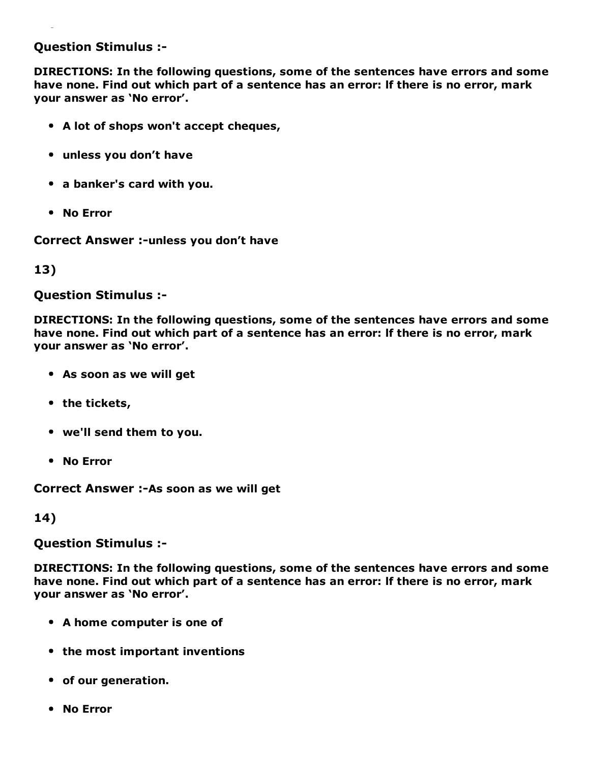#### Question Stimulus :

DIRECTIONS: In the following questions, some of the sentences have errors and some have none. Find out which part of a sentence has an error: lf there is no error, mark your answer as 'No error'.

- A lot of shops won't accept cheques,
- unless you don't have
- a banker's card with you.
- No Error

Correct Answer :- unless you don't have

13)

Question Stimulus :

DIRECTIONS: In the following questions, some of the sentences have errors and some have none. Find out which part of a sentence has an error: lf there is no error, mark your answer as 'No error'.

- As soon as we will get
- the tickets,
- we'll send them to you.
- No Error

Correct Answer :- As soon as we will get

14)

Question Stimulus :

DIRECTIONS: In the following questions, some of the sentences have errors and some have none. Find out which part of a sentence has an error: lf there is no error, mark your answer as 'No error'.

- A home computer is one of
- the most important inventions
- of our generation.
- No Error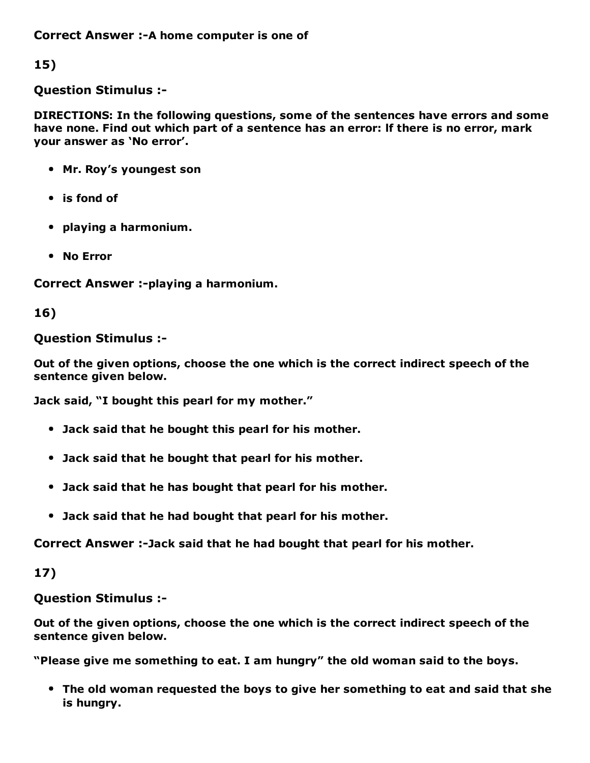Correct Answer :- A home computer is one of

15)

Question Stimulus :

DIRECTIONS: In the following questions, some of the sentences have errors and some have none. Find out which part of a sentence has an error: lf there is no error, mark your answer as 'No error'.

- Mr. Roy's youngest son
- is fond of
- playing a harmonium.
- No Error

Correct Answer :-playing a harmonium.

### 16)

#### Question Stimulus :

Out of the given options, choose the one which is the correct indirect speech of the sentence given below.

Jack said, "I bought this pearl for my mother."

- Jack said that he bought this pearl for his mother.
- Jack said that he bought that pearl for his mother.
- Jack said that he has bought that pearl for his mother.
- Jack said that he had bought that pearl for his mother.

Correct Answer :-Jack said that he had bought that pearl for his mother.

### 17)

### Question Stimulus :

Out of the given options, choose the one which is the correct indirect speech of the sentence given below.

"Please give me something to eat. I am hungry" the old woman said to the boys.

The old woman requested the boys to give her something to eat and said that she is hungry.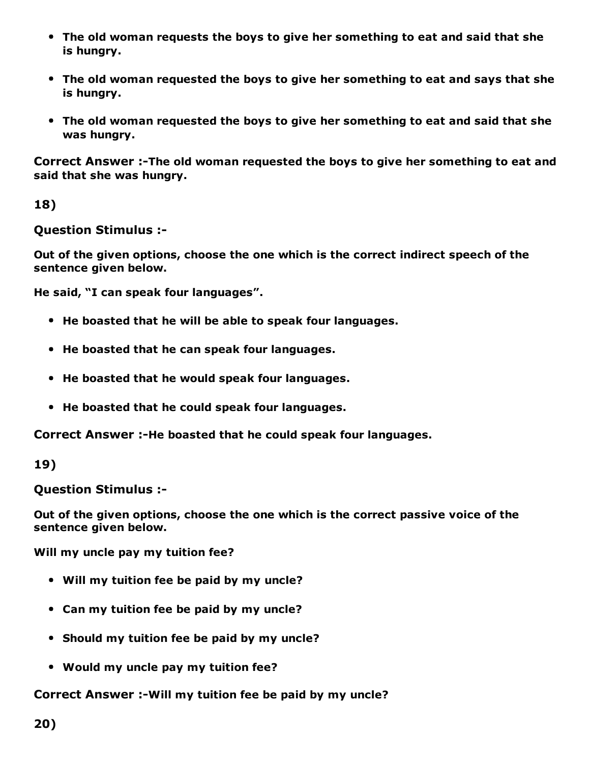- The old woman requests the boys to give her something to eat and said that she is hungry.
- The old woman requested the boys to give her something to eat and says that she is hungry.
- The old woman requested the boys to give her something to eat and said that she was hungry.

Correct Answer :-The old woman requested the boys to give her something to eat and said that she was hungry.

18)

Question Stimulus :

Out of the given options, choose the one which is the correct indirect speech of the sentence given below.

He said, "I can speak four languages".

- He boasted that he will be able to speak four languages.
- He boasted that he can speak four languages.
- He boasted that he would speak four languages.
- He boasted that he could speak four languages.

Correct Answer :-He boasted that he could speak four languages.

19)

Question Stimulus :

Out of the given options, choose the one which is the correct passive voice of the sentence given below.

Will my uncle pay my tuition fee?

- Will my tuition fee be paid by my uncle?
- Can my tuition fee be paid by my uncle?
- Should my tuition fee be paid by my uncle?
- Would my uncle pay my tuition fee?

Correct Answer :-Will my tuition fee be paid by my uncle?

20)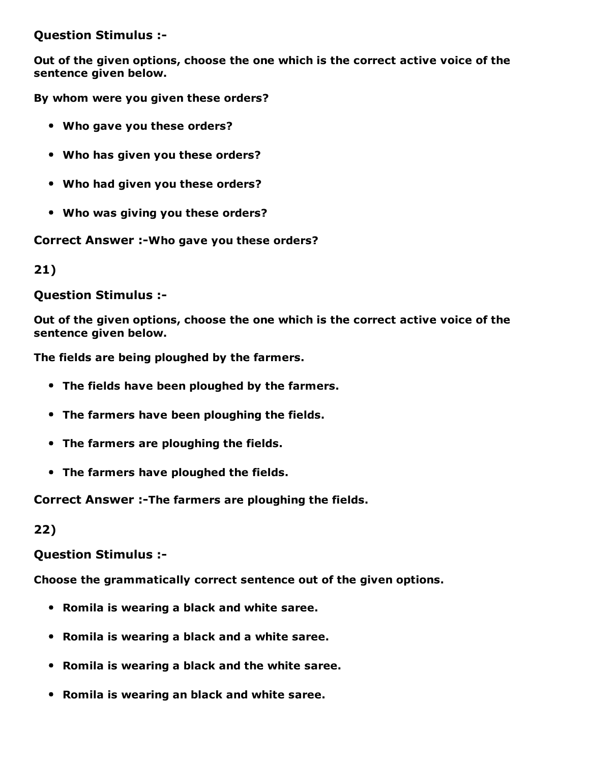Question Stimulus :

Out of the given options, choose the one which is the correct active voice of the sentence given below.

By whom were you given these orders?

- Who gave you these orders?
- Who has given you these orders?
- Who had given you these orders?
- Who was giving you these orders?

Correct Answer :-Who gave you these orders?

21)

Question Stimulus :

Out of the given options, choose the one which is the correct active voice of the sentence given below.

The fields are being ploughed by the farmers.

- The fields have been ploughed by the farmers.
- The farmers have been ploughing the fields.
- The farmers are ploughing the fields.
- The farmers have ploughed the fields.

Correct Answer :-The farmers are ploughing the fields.

22)

#### Question Stimulus :

Choose the grammatically correct sentence out of the given options.

- Romila is wearing a black and white saree.
- Romila is wearing a black and a white saree.
- Romila is wearing a black and the white saree.
- Romila is wearing an black and white saree.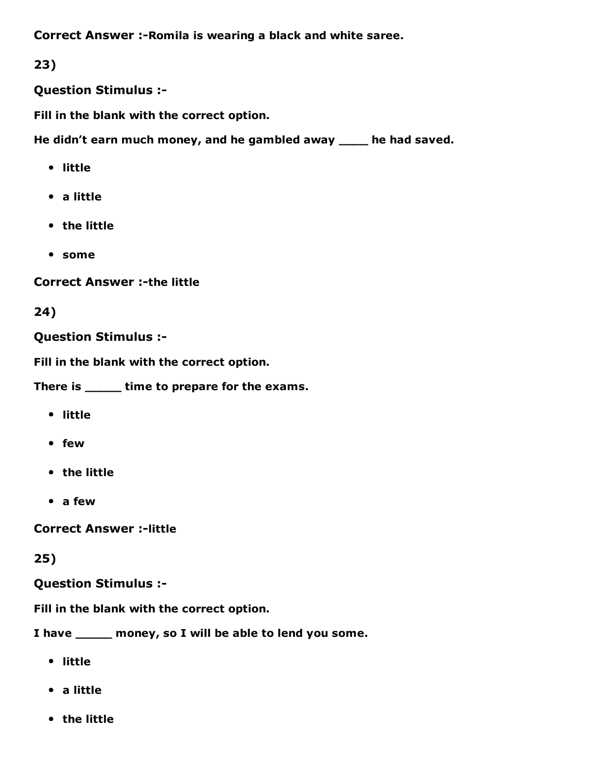Correct Answer :- Romila is wearing a black and white saree.

23)

Question Stimulus :

Fill in the blank with the correct option.

He didn't earn much money, and he gambled away \_\_\_\_ he had saved.

- little
- a little
- the little
- some

**Correct Answer :-the little** 

24)

Question Stimulus :

Fill in the blank with the correct option.

There is \_\_\_\_\_ time to prepare for the exams.

- little
- few
- the little
- a few

**Correct Answer :-little** 

25)

Question Stimulus :

Fill in the blank with the correct option.

I have \_\_\_\_\_ money, so I will be able to lend you some.

- little
- a little
- the little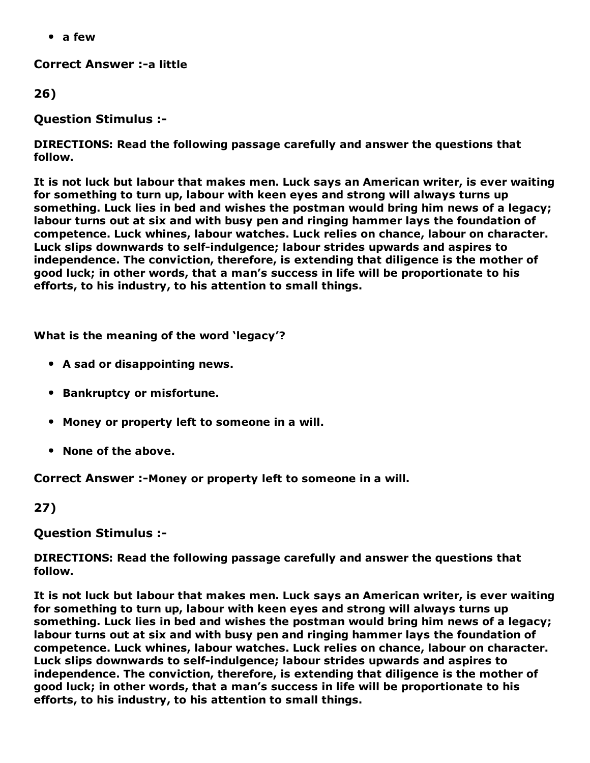a few

**Correct Answer :- a little** 

26)

Question Stimulus :

DIRECTIONS: Read the following passage carefully and answer the questions that follow.

It is not luck but labour that makes men. Luck says an American writer, is ever waiting for something to turn up, labour with keen eyes and strong will always turns up something. Luck lies in bed and wishes the postman would bring him news of a legacy; labour turns out at six and with busy pen and ringing hammer lays the foundation of competence. Luck whines, labour watches. Luck relies on chance, labour on character. Luck slips downwards to self-indulgence; labour strides upwards and aspires to independence. The conviction, therefore, is extending that diligence is the mother of good luck; in other words, that a man's success in life will be proportionate to his efforts, to his industry, to his attention to small things.

What is the meaning of the word 'legacy'?

- A sad or disappointing news.
- **Bankruptcy or misfortune.**
- Money or property left to someone in a will.
- None of the above.

Correct Answer :-Money or property left to someone in a will.

27)

Question Stimulus :

DIRECTIONS: Read the following passage carefully and answer the questions that follow.

It is not luck but labour that makes men. Luck says an American writer, is ever waiting for something to turn up, labour with keen eyes and strong will always turns up something. Luck lies in bed and wishes the postman would bring him news of a legacy; labour turns out at six and with busy pen and ringing hammer lays the foundation of competence. Luck whines, labour watches. Luck relies on chance, labour on character. Luck slips downwards to self-indulgence; labour strides upwards and aspires to independence. The conviction, therefore, is extending that diligence is the mother of good luck; in other words, that a man's success in life will be proportionate to his efforts, to his industry, to his attention to small things.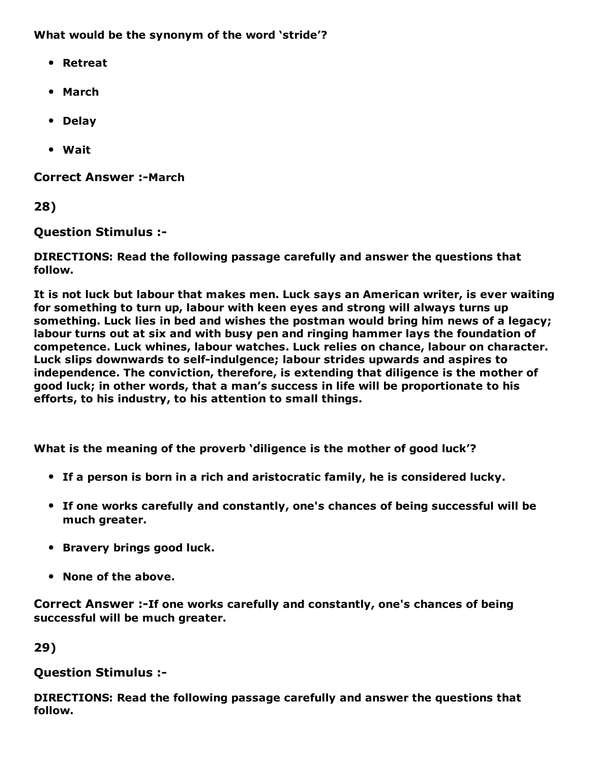What would be the synonym of the word 'stride'?

- Retreat
- March
- Delay
- Wait

**Correct Answer :-March** 

28)

Question Stimulus :

DIRECTIONS: Read the following passage carefully and answer the questions that follow.

It is not luck but labour that makes men. Luck says an American writer, is ever waiting for something to turn up, labour with keen eyes and strong will always turns up something. Luck lies in bed and wishes the postman would bring him news of a legacy; labour turns out at six and with busy pen and ringing hammer lays the foundation of competence. Luck whines, labour watches. Luck relies on chance, labour on character. Luck slips downwards to self-indulgence; labour strides upwards and aspires to independence. The conviction, therefore, is extending that diligence is the mother of good luck; in other words, that a man's success in life will be proportionate to his efforts, to his industry, to his attention to small things.

What is the meaning of the proverb 'diligence is the mother of good luck'?

- If a person is born in a rich and aristocratic family, he is considered lucky.
- If one works carefully and constantly, one's chances of being successful will be much greater.
- Bravery brings good luck.
- None of the above.

Correct Answer :-If one works carefully and constantly, one's chances of being successful will be much greater.

29)

### Question Stimulus :

DIRECTIONS: Read the following passage carefully and answer the questions that follow.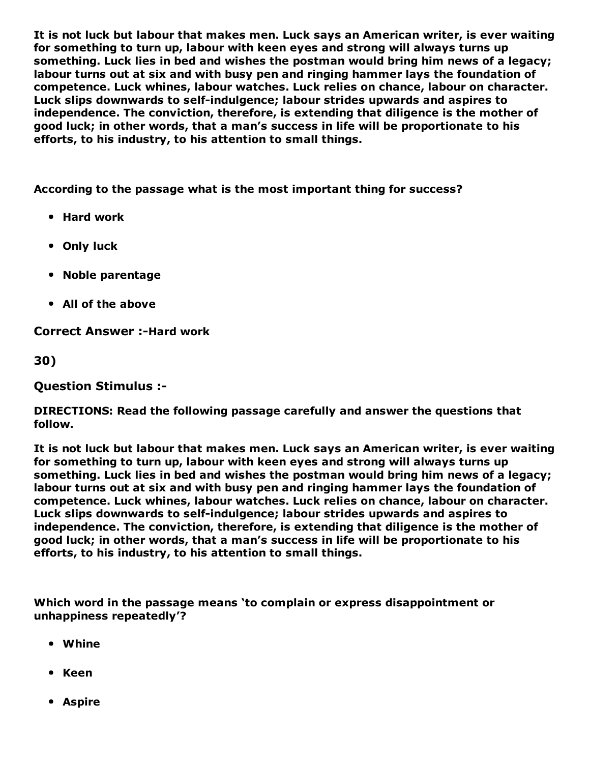It is not luck but labour that makes men. Luck says an American writer, is ever waiting for something to turn up, labour with keen eyes and strong will always turns up something. Luck lies in bed and wishes the postman would bring him news of a legacy; labour turns out at six and with busy pen and ringing hammer lays the foundation of competence. Luck whines, labour watches. Luck relies on chance, labour on character. Luck slips downwards to self-indulgence; labour strides upwards and aspires to independence. The conviction, therefore, is extending that diligence is the mother of good luck; in other words, that a man's success in life will be proportionate to his efforts, to his industry, to his attention to small things.

According to the passage what is the most important thing for success?

- Hard work
- Only luck
- Noble parentage
- All of the above

**Correct Answer :-Hard work** 

30)

Question Stimulus :

DIRECTIONS: Read the following passage carefully and answer the questions that follow.

It is not luck but labour that makes men. Luck says an American writer, is ever waiting for something to turn up, labour with keen eyes and strong will always turns up something. Luck lies in bed and wishes the postman would bring him news of a legacy; labour turns out at six and with busy pen and ringing hammer lays the foundation of competence. Luck whines, labour watches. Luck relies on chance, labour on character. Luck slips downwards to self-indulgence; labour strides upwards and aspires to independence. The conviction, therefore, is extending that diligence is the mother of good luck; in other words, that a man's success in life will be proportionate to his efforts, to his industry, to his attention to small things.

Which word in the passage means 'to complain or express disappointment or unhappiness repeatedly'?

- Whine
- Keen
- Aspire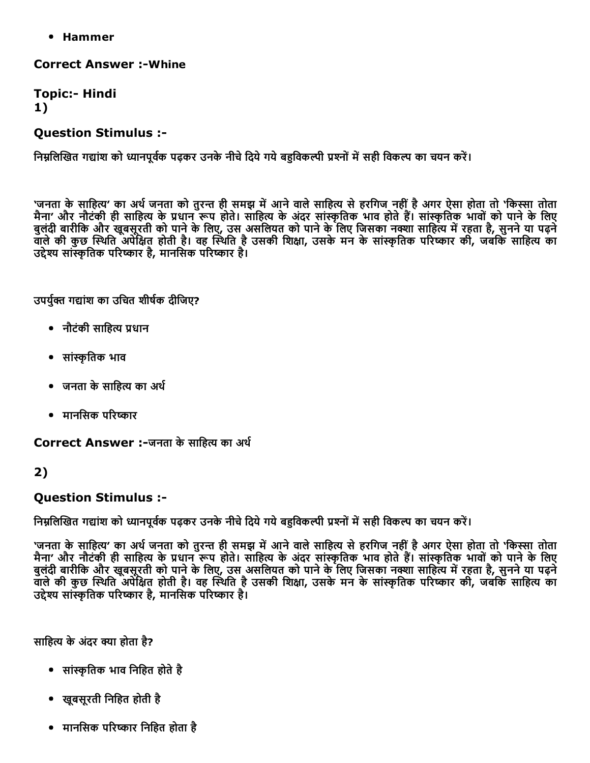• Hammer

**Correct Answer :- Whine** 

**Topic:- Hindi** 1)

#### Question Stimulus :

निम्नलिखित गद्यांश को ध्यानपूर्वक पढ़कर उनके नीचे दिये गये बहुविकल्पी प्रश्नों में सही विकल्प का चयन करें।

'जनता के साहित्य' का अर्थ जनता को तुरन्त ही समझ में आने वाले साहित्य से हरगिज नहीं है अगर ऐसा होता तो 'किस्सा तोता मैना' और नौटंकी ही साहित्य के प्रधान रूप होते। साहित्य के अंदर सांस्कृतिक भाव होते हैं। सांस्कृतिक भावों को पाने के लिए बुलंदी बारीकि और खूबसूरती को पाने के लिए, उस असलियत को पाने के लिए जिसका नक्शा साहित्य में रहता है, सुनने या पढ़ने वाले की कुछ स्थिति अपेक्षित होती है। वह स्थिति है उसकी शिक्षा, उसके मन के सांस्कृतिक परिष्कार की, जबकि साहित्य का ्तः प्राप्त पुरुषों के प्राप्त परिष्कार है, मानसिक परिष्कार है।

उपर्यक्त गद्यांश का उचित शीर्षक दीजिए?

- नौटंकी साहित्य प्रधान
- सांᦶृितक भाव
- जनता के साहित्य का अर्थ
- मानसिक परिष्कार

Correct Answer :-जनता के साहित्य का अर्थ

### 2)

### Question Stimulus :

निम्नलिखित गद्यांश को ध्यानपूर्वक पढ़कर उनके नीचे दिये गये बहुविकल्पी प्रश्नों में सही विकल्प का चयन करें।

'जनता के साहित्य' का अर्थ जनता को तुरन्त ही समझ में आने वाले साहित्य से हरगिज नहीं है अगर ऐसा होता तो 'किस्सा तोता मैना' और नौटंकी ही साहित्य के प्रधान रूप होते। साहित्य के अंदर सांस्कृतिक भाव होते हैं। सांस्कृतिक भावों को पाने के लिए बुलदी बारीकि और खूबसूरती को पाने के लिए, उस असलियत को पाने के लिए जिसका नक्शा साहित्य में रहता है, सुनने या पढ़न वाले की कुछ स्थिति अपेक्षित होती है। वह स्थिति है उसकी शिक्षा, उसके मन के सांस्कृतिक परिष्कार की, जबकि साहित्य का उद्देश्य सांस्कृतिक परिष्कार है, मानसिक परिष्कार है।

साहित्य के अंदर क्या होता है?

- सांस्कृतिक भाव निहित होते है
- खूबसूरती िनिहत होती है
- मानसिक परिष्कार निहित होता है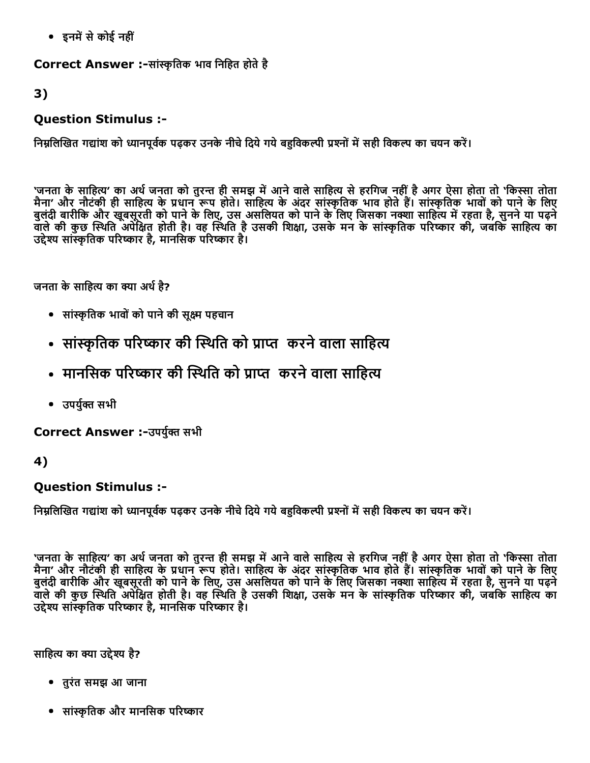• इनमें से कोई नहीं

Correct Answer :-सांस्कृतिक भाव निहित होते है

3)

### Question Stimulus :

निम्नलिखित गद्यांश को ध्यानपूर्वक पढ़कर उनके नीचे दिये गये बहुविकल्पी प्रश्नों में सही विकल्प का चयन करें।

'जनता के साहित्य' का अर्थ जनता को तुरन्त ही समझ में आने वाले साहित्य से हरगिज नहीं है अगर ऐसा होता तो 'किस्सा तोता मैना' और नौटंकी ही साहित्य के प्रधान रूप होते। साहित्य के अंदर सांस्कृतिक भाव होते हैं। सांस्कृतिक भावों को पाने के लिए बुलंदी बारीकि और खूबसूरती को पाने के लिए, उस असलियत को पाने के लिए जिसका नक्शा साहित्य में रहता है, सुनने या पढ़ने वाले की कुछ स्थिति अपेक्षित होती है। वह स्थिति है उसकी शिक्षा, उसके मन के सांस्कृतिक परिष्कार की, जबकि साहित्य का उद्देश्य सांस्कृतिक परिष्कार है, मानसिक परिष्कार है।

जनता के साहित्य का क्या अर्थ है?

- सांᦶृितक भावोंको पानेकी सूᦶ पहचान
- सांस्कृतिक परिष्कार की स्थिति को प्राप्त करने वाला साहित्य
- मानसिक परिष्कार की स्थिति को प्राप्त करने वाला साहित्य
- उपर्यक्त सभी

Correct Answer :-उपर्युक्त सभी

4)

### Question Stimulus :

निम्नलिखित गद्यांश को ध्यानपूर्वक पढ़कर उनके नीचे दिये गये बहविकल्पी प्रश्नों में सही विकल्प का चयन करें।

`जनता के साहित्य' का अर्थ जनता को तुरन्त ही समझ में आने वाले साहित्य से हरगिज नहीं है अगर ऐसा होता तो 'किस्सा तोता मैना' और नौटंकी ही साहित्य के प्रधान रूप होते। साहित्य के अंदर सांस्कृतिक भाव होते हैं। सांस्कृतिक भावों को पाने के लिए बुलंदी बारीकि और खूबसूरती को पाने के लिए, उस असलियत को पाने के लिए जिसका नक्शा साहित्य में रहता है, सुनने या पढ़ने वाले की कुछ स्थिति अपेक्षित होती है। वह स्थिति है उसकी शिक्षा, उसके मन के सांस्कृतिक परिष्कार की, जबकि साहित्य का उद्देश्य सांस्कृतिक परिष्कार है, मानसिक परिष्कार है।

साहित्य का क्या उद्देश्य है?

- तुरंत समझ आ जाना
- सांस्कृतिक और मानसिक परिष्कार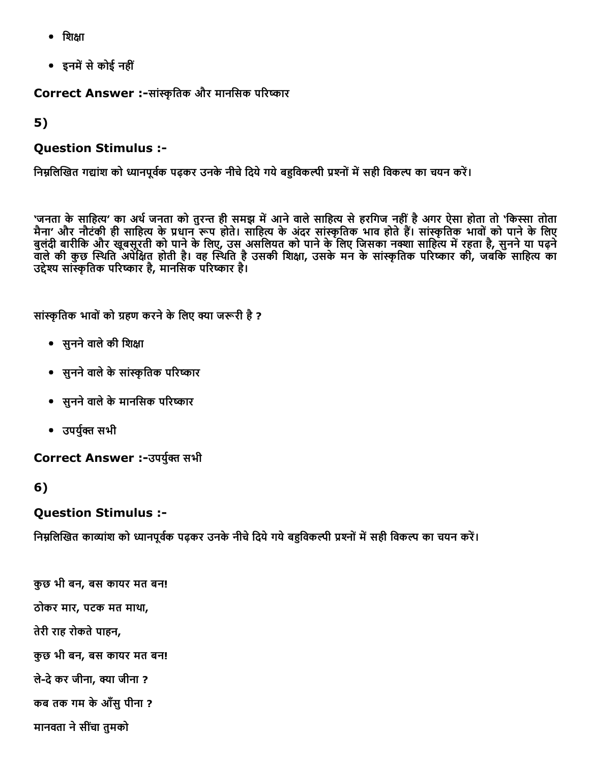- $\bullet$  शिक्षा
- इनमें से कोई नहीं

Correct Answer :-सांस्कृतिक और मानसिक परिष्कार

5)

#### Question Stimulus :

निम्नलिखित गद्यांश को ध्यानपूर्वक पढ़कर उनके नीचे दिये गये बहुविकल्पी प्रश्नों में सही विकल्प का चयन करें।

'जनता के साहित्य' का अर्थ जनता को तुरन्त ही समझ में आने वाले साहित्य से हरगिज नहीं है अगर ऐसा होता तो 'किस्सा तोता मैना' और नौटंकी ही साहित्य के प्रधान रूप होते। साहित्य के अंदर सांस्कृतिक भाव होते हैं। सांस्कृतिक भावों को पाने के लिए बुलदी बारीकि और खूबसूरती को पाने के लिए, उस असलियत को पाने के लिए जिसका नक्शा साहित्य में रहता है, सुनने या पढ़न वाले की कुछ स्थिति अपेक्षित होती है। वह स्थिति है उसकी शिक्षा, उसके मन के सांस्कृतिक परिष्कार की, जबकि साहित्य का उद्देश्य सांस्कृतिक परिष्कार है, मानसिक परिष्कार है।

सांस्कृतिक भावों को ग्रहण करने के लिए क्या जरूरी है ?

- सुनने वाले की शिक्षा
- सुनने वाले के सांस्कृतिक परिष्कार
- सुनने वाले के मानसिक परिष्कार
- उपर्युक्त सभी

Correct Answer :-उपर्युक्त सभी

#### 6)

#### Question Stimulus :

निम्नलिखित काव्यांश को ध्यानपूर्वक पढ़कर उनके नीचे दिये गये बहविकल्पी प्रश्नों में सही विकल्प का चयन करें।

कुछ भी बन, बस कायर मत बन! ठोकर मार, पटक मत माथा, तेरी राह रोकते पाहन, कुछ भी बन, बस कायर मत बन! ले-दे कर जीना, क्या जीना ? कब तक गम केआँसुपीना ? मानवता ने सींचा तुमको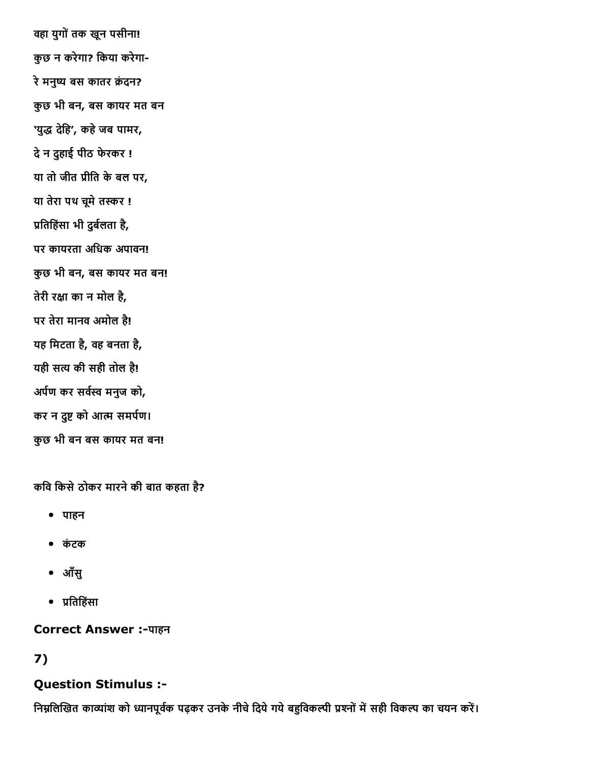वहा युगोंतक खून पसीना! कुछ न करेगा? िकया करेगा रे मनुष्य बस कातर क्रंदन? कुछ भी बन, बस कायर मत बन 'युद्ध देहि', कहे जब पामर, देन दुहाई पीठ फेरकर ! या तो जीत ᦶीित केबल पर, या तेरा पथ चूमे तस्कर ! प्रतिहिंसा भी दुर्बलता है, पर कायरता अिधक अपावन! कुछ भी बन, बस कायर मत बन! तेरी रᦶा का न मोल है, पर तेरा मानव अमोल है! यह िमटता है, वह बनता है, यही सत्य की सही तोल है! अर्पण कर सर्वस्व मनुज को, कर न दुष्ट को आत्म समर्पण। कुछ भी बन बस कायर मत बन!

कवि किसे ठोकर मारने की बात कहता है?

- पाहन
- कंटक
- आँसु
- ᦶितिहंसा

**Correct Answer :-पाहन** 

# 7)

### Question Stimulus :

निम्नलिखित काव्यांश को ध्यानपूर्वक पढ़कर उनके नीचे दिये गये बहुविकल्पी प्रश्नों में सही विकल्प का चयन करें।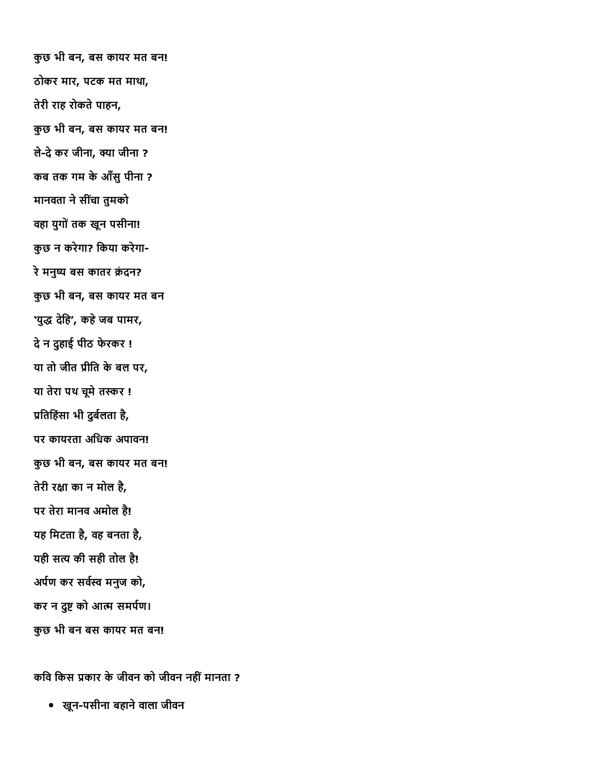कुछ भी बन, बस कायर मत बन! ठोकर मार, पटक मत माथा, तेरी राह रोकते पाहन, कुछ भी बन, बस कायर मत बन! ले-दे कर जीना, क्या जीना ? कब तक गम केआँसुपीना ? मानवता ने सींचा तुमको वहा युगोंतक खून पसीना! कुछ न करेगा? िकया करेगा रे मनुष्य बस कातर क्रंदन? कुछ भी बन, बस कायर मत बन 'युद्ध देहि', कहे जब पामर, देन दुहाई पीठ फेरकर ! या तो जीत ᦶीित केबल पर, या तेरा पथ चूमे तस्कर ! प्रतिहिंसा भी दुर्बलता है, पर कायरता अिधक अपावन! कुछ भी बन, बस कायर मत बन! तेरी रᦶा का न मोल है, पर तेरा मानव अमोल है! यह िमटता है, वह बनता है, यही सत्य की सही तोल है! अर्पण कर सर्वस्व मनुज को, कर न दुष्ट को आत्म समर्पण। कुछ भी बन बस कायर मत बन!

कवि किस प्रकार के जीवन को जीवन नहीं मानता ?

• खून-पसीना बहाने वाला जीवन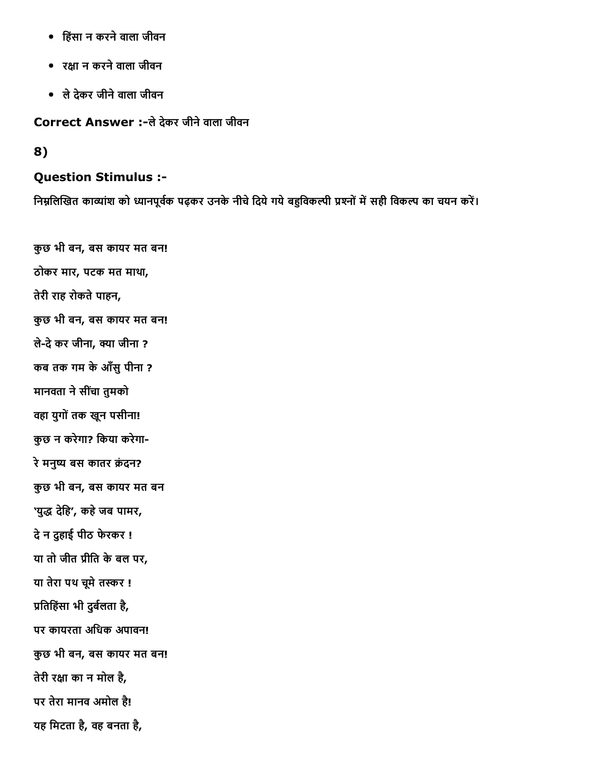- िहंसा न करनेवाला जीवन
- रᦶा न करनेवाला जीवन
- लेदेकर जीनेवाला जीवन

Correct Answer :-ले देकर जीने वाला जीवन

8)

#### Question Stimulus :

निम्नलिखित काव्यांश को ध्यानपूर्वक पढ़कर उनके नीचे दिये गये बहुविकल्पी प्रश्नों में सही विकल्प का चयन करें।

कुछ भी बन, बस कायर मत बन! ठोकर मार, पटक मत माथा, तेरी राह रोकते पाहन, कुछ भी बन, बस कायर मत बन! लेदेकर जीना, ᦶा जीना ? कब तक गम केआँसुपीना ? मानवता ने सींचा तुमको वहा युगोंतक खून पसीना! कुछ न करेगा? िकया करेगा रे मनुष्य बस कातर क्रंदन? कुछ भी बन, बस कायर मत बन 'युद्ध देहि', कहे जब पामर, देन दुहाई पीठ फेरकर ! या तो जीत प्रीति के बल पर, या तेरा पथ चूमे तस्कर ! प्रतिहिंसा भी दुर्बलता है, पर कायरता अिधक अपावन! कुछ भी बन, बस कायर मत बन! तेरी रᦶा का न मोल है, पर तेरा मानव अमोल है! यह िमटता है, वह बनता है,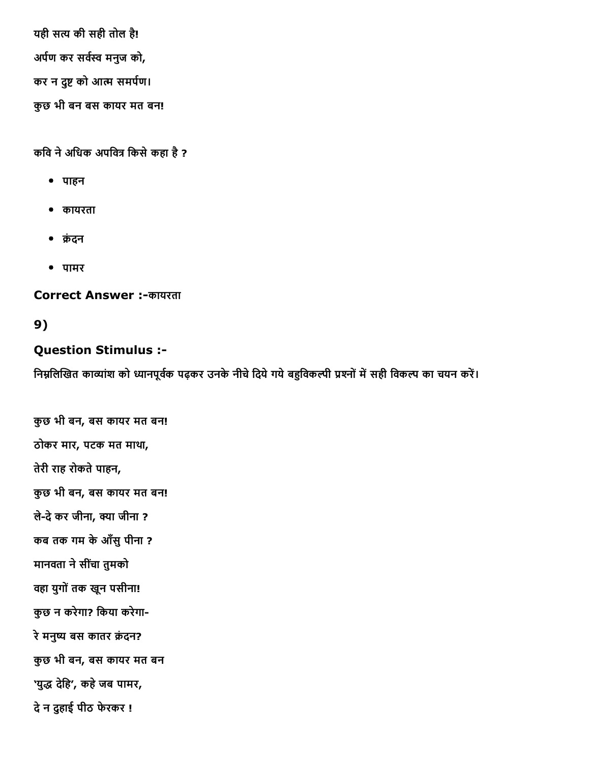यही सᦶ की सही तोल है! अर्पण कर सर्वस्व मनुज को, कर न दुष्ट को आत्म समर्पण। कुछ भी बन बस कायर मत बन!

कवि ने अधिक अपवित्र किसे कहा है ?

- पाहन
- कायरता
- ᦶंदन
- पामर

Correct Answer :-कायरता

# 9)

### Question Stimulus :

निम्नलिखित काव्यांश को ध्यानपूर्वक पढ़कर उनके नीचे दिये गये बहुविकल्पी प्रश्नों में सही विकल्प का चयन करें।

कुछ भी बन, बस कायर मत बन! ठोकर मार, पटक मत माथा, तेरी राह रोकते पाहन, कुछ भी बन, बस कायर मत बन! ले-दे कर जीना, क्या जीना ? कब तक गम केआँसुपीना ? मानवता ने सींचा तुमको वहा युगोंतक खून पसीना! कुछ न करेगा? िकया करेगा रे मनुष्य बस कातर क्रंदन? कुछ भी बन, बस कायर मत बन 'युद्ध देहि', कहे जब पामर, देन दुहाई पीठ फेरकर !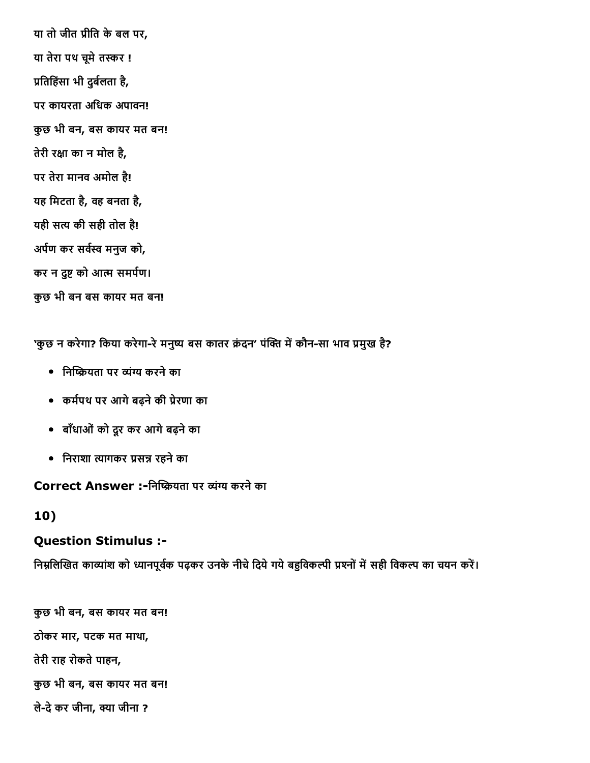या तो जीत ᦶीित केबल पर, या तेरा पथ चूमे तस्कर ! प्रतिहिंसा भी दुर्बलता है, पर कायरता अिधक अपावन! कुछ भी बन, बस कायर मत बन! तेरी रᦶा का न मोल है, पर तेरा मानव अमोल है! यह िमटता है, वह बनता है, यही सत्य की सही तोल है! अर्पण कर सर्वस्व मनुज को, कर न दुष्ट को आत्म समर्पण। कुछ भी बन बस कायर मत बन!

'कुछ न करेगा? किया करेगा-रे मनुष्य बस कातर क्रंदन' पंक्ति में कौन-सा भाव प्रमुख है?

- निष्क्रियता पर व्यंग्य करने का
- कमᦶपथ पर आगेबढ़नेकी ᦶेरणा का
- बाँधाओंको दूर कर आगेबढ़नेका
- िनराशा ᦶागकर ᦶसᦶ रहनेका

Correct Answer :-निष्क्रियता पर व्यंग्य करने का

#### 10)

#### Question Stimulus :

निम्नलिखित काव्यांश को ध्यानपूर्वक पढ़कर उनके नीचे दिये गये बहुविकल्पी प्रश्नों में सही विकल्प का चयन करें।

कुछ भी बन, बस कायर मत बन! ठोकर मार, पटक मत माथा, तेरी राह रोकते पाहन, कुछ भी बन, बस कायर मत बन! लेदेकर जीना, ᦶा जीना ?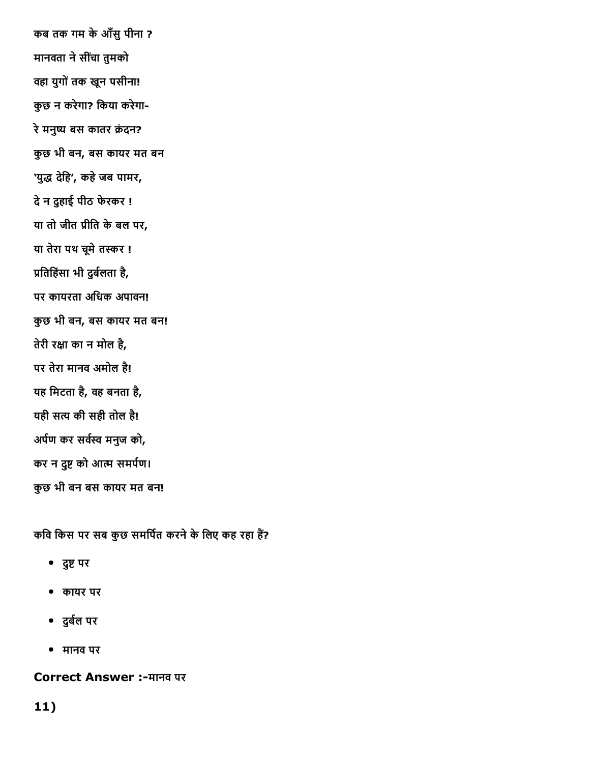कब तक गम केआँसुपीना ? मानवता ने सींचा तुमको वहा युगोंतक खून पसीना! कुछ न करेगा? िकया करेगा रे मनुष्य बस कातर क्रंदन? कुछ भी बन, बस कायर मत बन 'युद्ध देहि', कहे जब पामर, देन दुहाई पीठ फेरकर ! या तो जीत ᦶीित केबल पर, या तेरा पथ चूमे तस्कर ! प्रतिहिंसा भी दुर्बलता है, पर कायरता अधिक अपावन! कुछ भी बन, बस कायर मत बन! तेरी रᦶा का न मोल है, पर तेरा मानव अमोल है! यह िमटता है, वह बनता है, यही सत्य की सही तोल है! अर्पण कर सर्वस्व मनुज को, कर न दुष्ट को आत्म समर्पण। कुछ भी बन बस कायर मत बन!

कवि किस पर सब कुछ समर्पित करने के लिए कह रहा हैं?

- दुष्ट पर
- कायर पर
- दुर्बल पर
- मानव पर

Correct Answer :-मानव पर

### 11)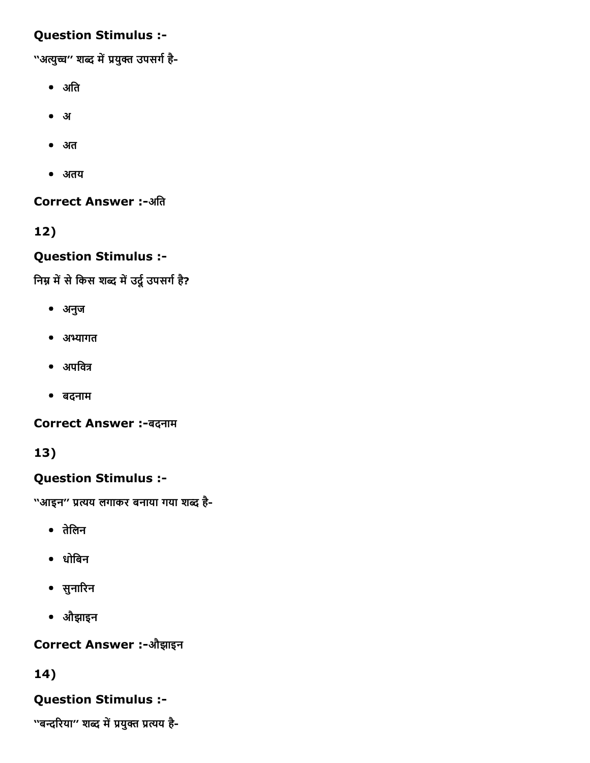### Question Stimulus :

''अत्युच्च" शब्द में प्रयुक्त उपसर्ग है-

- अति
- अ
- अत
- अतय

**Correct Answer :-अति** 

12)

### Question Stimulus :

निम्न में से किस शब्द में उर्दू उपसर्ग है?

- अनुज
- अभ्यागत
- $\bullet$  अपवित्र
- बदनाम

Correct Answer :-बदनाम

### 13)

### Question Stimulus :

''आइन'' प्रत्यय लगाकर बनाया गया शब्द है-

- तेिलन
- धोिबन
- सुनाᦶरन
- औझाइन

Correct Answer :औझाइन

### 14)

### Question Stimulus :

''बन्दरिया'' शब्द में प्रयुक्त प्रत्यय है-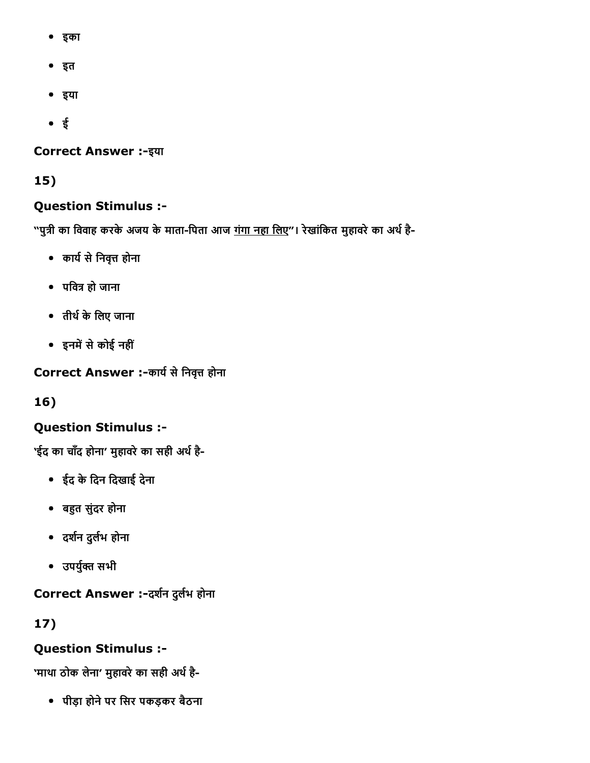- इका
- इत
- इया
- ई

#### **Correct Answer :- इया**

15)

### Question Stimulus :

"पुत्री का विवाह करके अजय के माता-पिता आज <u>गंगा नहा लिए</u>"। रेखांकित मुहावरे का अर्थ है-

- कार्य से निवृत्त होना
- पिवᦶ हो जाना
- तीथᦶकेिलए जाना
- इनमें से कोई नहीं

Correct Answer :-कार्य से निवृत्त होना

16)

# Question Stimulus :

'ईद का चाँद होना' मुहावरे का सही अर्थ है-

- ईद केिदन िदखाई देना
- बहुत सुंदर होना
- दर्शन दुर्लभ होना
- उपयुᦶᦶ सभी

Correct Answer :-दर्शन दुर्लभ होना

17)

### Question Stimulus :

'माथा ठोक लेना' मुहावरे का सही अर्थ है-

पीड़ा होनेपर िसर पकड़कर बैठना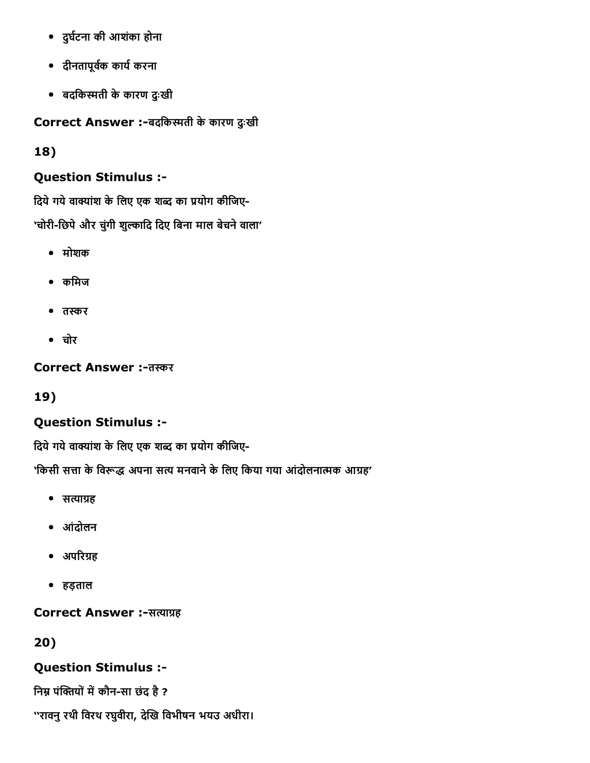- दुर्घटना की आशंका होना
- दीनतापूवकᦶ कायᦶकरना
- बदिकᦶती केकारण दुःखी

Correct Answer :-बदकिस्मती के कारण दुःखी

18)

### Question Stimulus :

दिये गये वाक्यांश के लिए एक शब्द का प्रयोग कीजिए-'चोरी-छिपे और चुंगी शुल्कादि दिए बिना माल बेचने वाला'

- मोशक
- कमिज
- तस्कर
- चोर

Correct Answer :-तस्कर

19)

# Question Stimulus :

दिये गये वाक्यांश के लिए एक शब्द का प्रयोग कीजिए-

'किसी सत्ता के विरूद्ध अपना सत्य मनवाने के लिए किया गया आंदोलनात्मक आग्रह'

- सत्याग्रह
- आंदोलन
- अपरिग्रह
- हड़ताल

### Correct Answer :-सत्याग्रह

20)

Question Stimulus :

निम्न पंक्तियों में कौन-सा छंद है ?

''रावनुरथी िवरथ रघुवीरा, देᦶख िवभीषन भयउ अधीरा।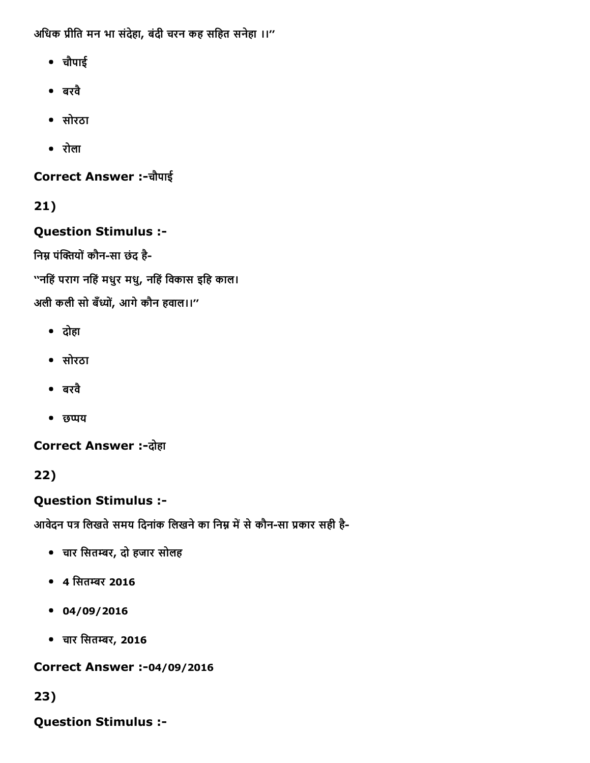अिधक ᦶीित मन भा संदेहा, बंदी चरन कह सिहत सनेहा ।।''

- चौपाई
- बरवै
- सोरठा
- रोला

Correct Answer :चौपाई

21)

Question Stimulus :

निम्न पंक्तियों कौन-सा छंद है-

''निहंपराग निहंमधुर मधु, निहंिवकास इिह काल।

अली कली सो बँध्यों, आगे कौन हवाल।।''

- दोहा
- सोरठा
- बरवै
- छप्पय

**Correct Answer :-दोहा** 

22)

Question Stimulus :

आवेदन पत्र लिखते समय दिनांक लिखने का निम्न में से कौन-सा प्रकार सही है-

- चार िसतᦶर, दो हजार सोलह
- 4 सितम्बर 2016
- $04/09/2016$
- चार िसतᦶर, 2016

**Correct Answer :-04/09/2016** 

23)

Question Stimulus :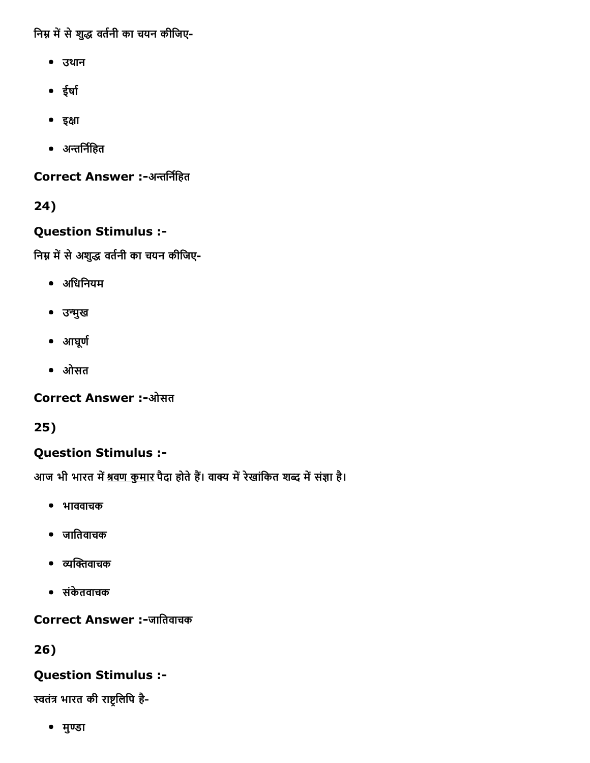निम्न में से शुद्ध वर्तनी का चयन कीजिए-

- उथान
- ईर्षा
- इᦶा
- अन्तर्निहित

Correct Answer :-अन्तर्निहित

24)

### Question Stimulus :

निम्न में से अशुद्ध वर्तनी का चयन कीजिए-

- अिधिनयम
- उन्मुख
- आघूर्ण
- ओसत

**Correct Answer :-ओसत** 

25)

# Question Stimulus :

आज भी भारत में <u>श्रवण कुमार</u> पैदा होते हैं। वाक्य में रेखांकित शब्द में संज्ञा है।

- भाववाचक
- जाितवाचक
- ᦶᦶᦶवाचक
- संकेतवाचक

Correct Answer :-जातिवाचक

26)

# Question Stimulus :

स्वतंत्र भारत की राष्ट्रलिपि है-

• मुण्डा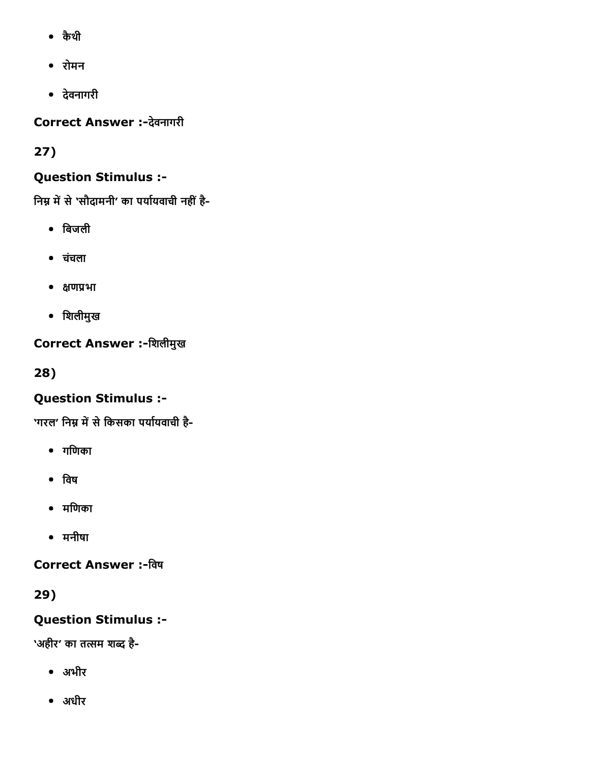- कैथी
- रोमन
- देवनागरी

Correct Answer :-देवनागरी

27)

# Question Stimulus :

निम्न में से 'सौदामनी' का पर्यायवाची नहीं है-

- िबजली
- चचंला
- ᦶणᦶभा
- िशलीमुख

# Correct Answer :-शिलीमुख

28)

# Question Stimulus :

'गरल' निम्न में से किसका पर्यायवाची है-

- गिणका
- िवष
- मिणका
- मनीषा

Correct Answer :-विष

29)

# Question Stimulus :

'अहीर' का तत्सम शब्द है-

- अभीर
- अधीर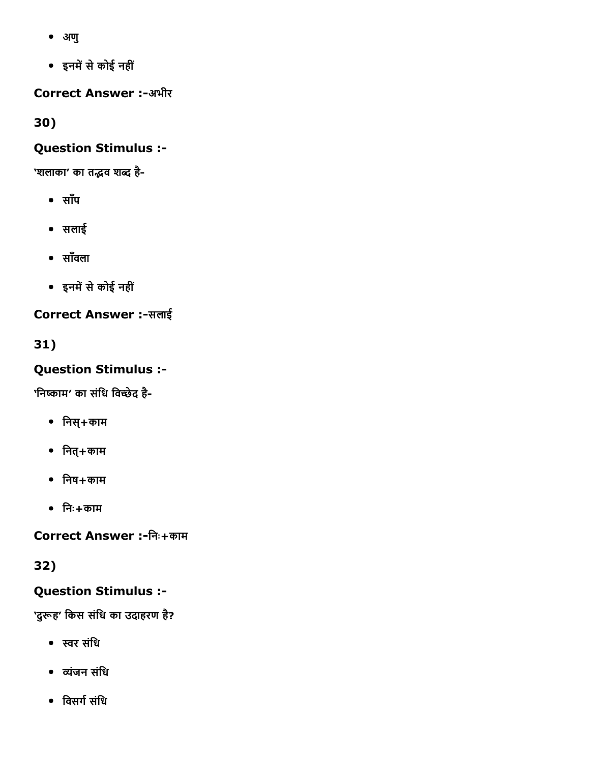- अणु
- इनमᦶसेकोई नहीं

**Correct Answer :-अभीर** 

30)

### Question Stimulus :

'शलाका' का तद्भव शब्द है-

- साँप
- सलाई
- साँवला
- इनमें से कोई नहीं

**Correct Answer :-सलाई** 

31)

Question Stimulus :

'निष्काम' का संधि विच्छेद है-

- िनस्+काम
- $\bullet$  नित्+काम
- $\bullet$  निष $+$ काम
- िनः+काम

Correct Answer :िनः+काम

32)

# Question Stimulus :

'दुरूह' किस संधि का उदाहरण है?

- ᦶर संिध
- ᦶंजन संिध
- विसर्ग संधि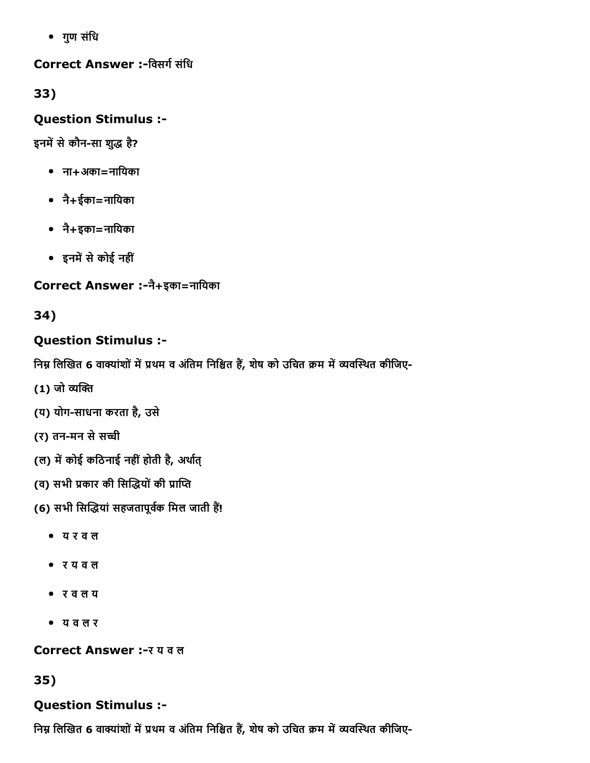गुण संिध

### Correct Answer :-विसर्ग संधि

33)

### Question Stimulus :

इनमें से कौन-सा शुद्ध है?

- ना+अका=नाियका
- नै+ईका=नाियका
- नै+इका=नाियका
- इनमें से कोई नहीं

# Correct Answer :नै+इका=नाियका

# 34)

# Question Stimulus :

निम्न लिखित 6 वाक्यांशों में प्रथम व अंतिम निश्चित हैं, शेष को उचित क्रम में व्यवस्थित कीजिए-

- (1) जो व्यक्ति
- (य) योग-साधना करता है, उसे
- (र) तन-मन से सच्ची
- (ल) में कोई कठिनाई नहीं होती है, अर्थात्
- (व) सभी प्रकार की सिद्धियों की प्राप्ति
- (6) सभी सिद्धियां सहजतापूर्वक मिल जाती हैं!
	- य र व ल
	- र य व ल
	- र व ल य
	- य व ल र

### Correct Answer :- र य व ल

35)

# Question Stimulus :

निम्न लिखित 6 वाक्यांशों में प्रथम व अंतिम निश्चित हैं, शेष को उचित क्रम में व्यवस्थित कीजिए-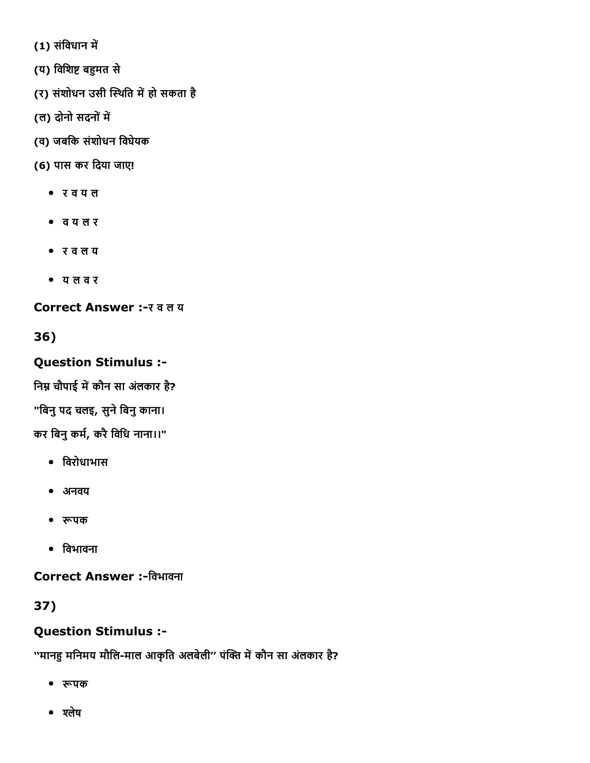(1) संविधान में

(य) विशिष्ट बहुमत से

- (र) संशोधन उसी स्थिति में हो सकता है
- (ल) दोनो सदनों में
- (व) जबिक संशोधन िवघेयक
- (6) पास कर िदया जाए!
	- र व य ल
	- व य ल र
	- र व ल य
	- य ल व र

Correct Answer :- र व ल य

36)

# Question Stimulus :

निम्न चौपाई में कौन सा अंलकार है?

"बिनु पद चलइ, सुने बिनु काना।

कर बिनु कर्म, करै विधि नाना।।"

- िवरोधाभास
- अनवय
- ᦶपक
- िवभावना

Correct Answer :-विभावना

37)

# Question Stimulus :

''मानहु मनिमय मौलि-माल आकृति अलबेली'' पंक्ति में कौन सा अंलकार है?

- ᦶपक
- श्लेष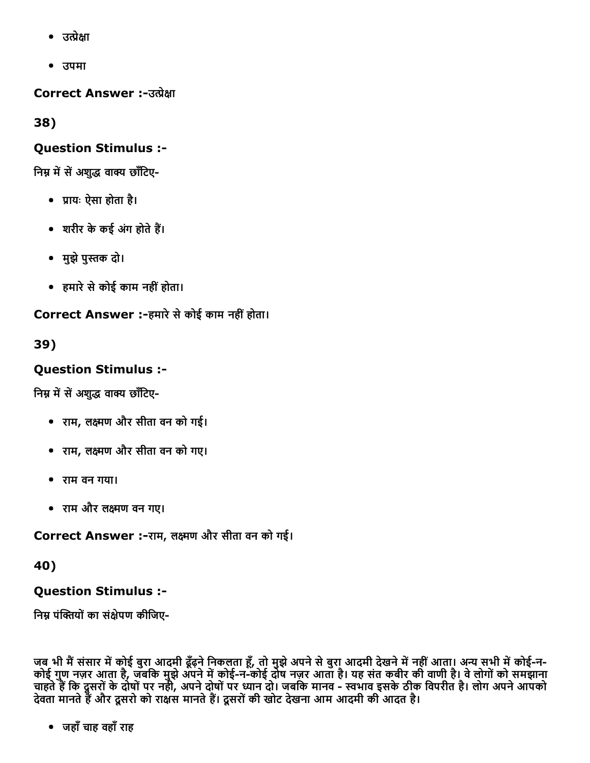- उत्प्रेक्षा
- उपमा

Correct Answer :-उत्प्रेक्षा

38)

### Question Stimulus :

निम्न में सें अशुद्ध वाक्य छाँटिए-

- ᦶायः ऐसा होता है।
- शरीर के कई अंग होते हैं।
- मुझे पुस्तक दो।
- हमारेसेकोई काम नहींहोता।

Correct Answer :-हमारे से कोई काम नहीं होता।

39)

### Question Stimulus :

निम्न में सें अशुद्ध वाक्य छाँटिए-

- राम, लᦶण और सीता वन को गई।
- राम, लᦶण और सीता वन को गए।
- राम वन गया।
- राम और लᦶण वन गए।

Correct Answer :-राम, लक्ष्मण और सीता वन को गई।

40)

### Question Stimulus :

निम्न पंक्तियों का संक्षेपण कीजिए-

जब भी मैं संसार में कोई बुरा आदमी ढूँढ़ने निकलता हूँ, तो मुझे अपने से बुरा आदमी देखने में नहीं आता। अन्य सभी में कोई-न-कोई गुण नज़र आता है, जबकि मुझे अपने में कोई-न-कोई दोष नज़र आता है। यह संत कबीर की वाणी है। वे लोगों को समझाना चाहते हैं कि दूसरों के दोषों पर नही, अपने दोषों पर ध्यान दो। जबकि मानव - स्वभाव इसके ठीक विपरीत है। लोग अपने आपको देवता मानते हैं और दूसरों को राक्षस मानते हैं। दूसरों की खोट देखना आम आदमी की आदत है।

जहाँचाह वहाँराह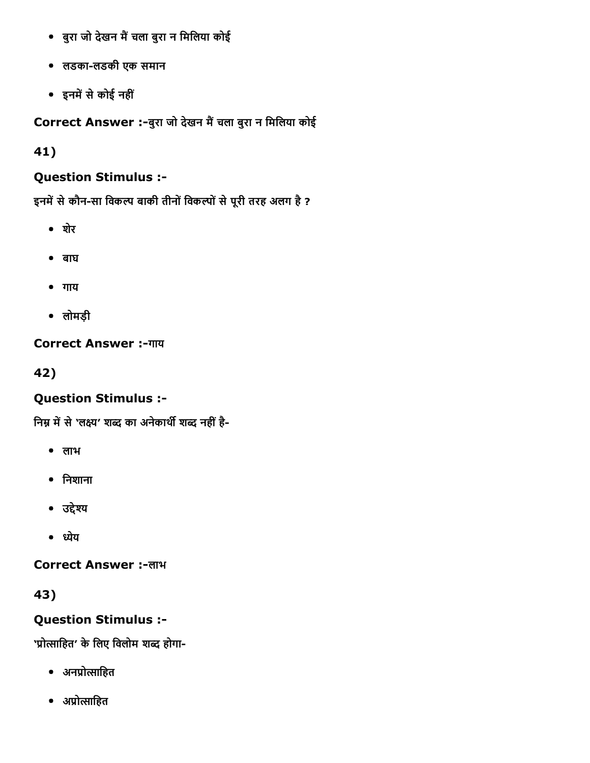- बुरा जो देखन मैं चला बुरा न मिलिया कोई
- लडकालडकी एक समान
- इनमें से कोई नहीं

Correct Answer :-बुरा जो देखन मैं चला बुरा न मिलिया कोई

41)

# Question Stimulus :

इनमें से कौन-सा विकल्प बाकी तीनों विकल्पों से पूरी तरह अलग है ?

- शेर
- बाघ
- गाय
- लोमड़ी

### Correct Answer :-गाय

42)

### Question Stimulus :

निम्न में से 'लक्ष्य' शब्द का अनेकार्थी शब्द नहीं है-

- लाभ
- िनशाना
- उद्देश्य
- ध्येय

Correct Answer :-लाभ

43)

# Question Stimulus :

'प्रोत्साहित' के लिए विलोम शब्द होगा-

- अनप्रोत्साहित
- अप्रोत्साहित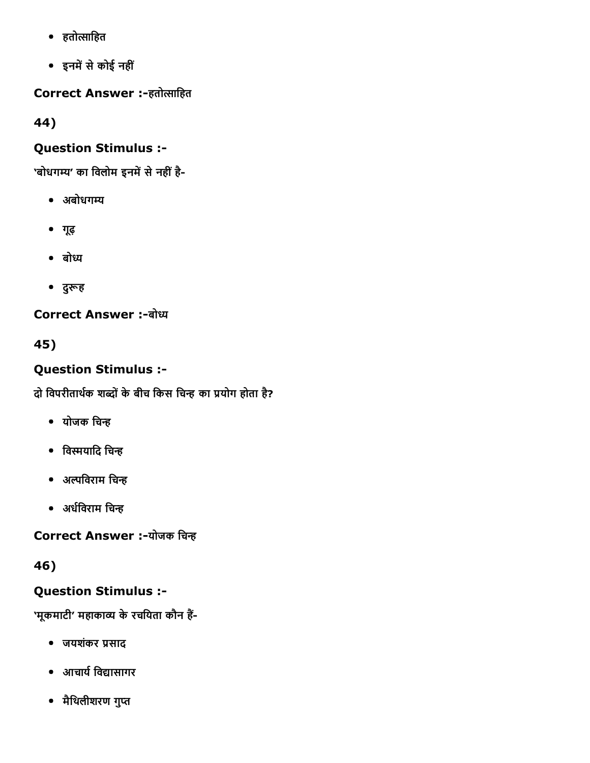- हतोᦶािहत
- इनमें से कोई नहीं

Correct Answer :-हतोत्साहित

44)

# Question Stimulus :

'बोधगम्य' का विलोम इनमें से नहीं है-

- अबोधगम्य
- गूढ़
- बोध्य
- दुरूह

**Correct Answer :-बोध्य** 

45)

# Question Stimulus :

दो विपरीतार्थक शब्दों के बीच किस चिन्ह का प्रयोग होता है?

- योजक चिन्ह
- विस्मयादि चिन्ह
- अल्पविराम चिन्ह
- अर्धविराम चिन्ह

Correct Answer :-योजक चिन्ह

46)

# Question Stimulus :

'मूकमाटी' महाकाव्य के रचयिता कौन हैं-

- जयशंकर ᦶसाद
- आचायᦶिवᦶासागर
- मैथिलीशरण गुप्त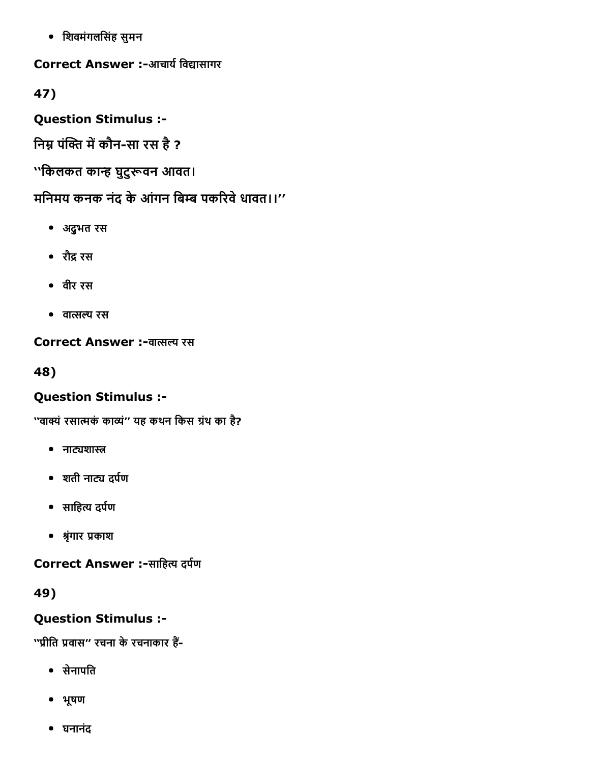िशवमंगलिसंह सुमन

Correct Answer :-आचार्य विद्यासागर

47)

Question Stimulus :

निम्न पंक्ति में कौन-सा रस है ?

''िकलकत काᦶ घुटुᦶवन आवत।

मनिमय कनक नंद के आंगन बिम्ब पकरिवे धावत।।''

- अद्ुभत रस
- रौद्र रस
- वीर रस
- वात्सल्य रस

Correct Answer :-वात्सल्य रस

48)

# Question Stimulus :

''वाक्यं रसात्मकं काव्यं'' यह कथन किस ग्रंथ का है?

- नाट्यशास्त्र
- शती नाट्य दर्पण
- साहित्य दर्पण
- ᦶृंगार ᦶकाश

Correct Answer :-साहित्य दर्पण

49)

# Question Stimulus :

''प्रीति प्रवास'' रचना के रचनाकार हैं-

- सेनापित
- भूषण
- घनानंद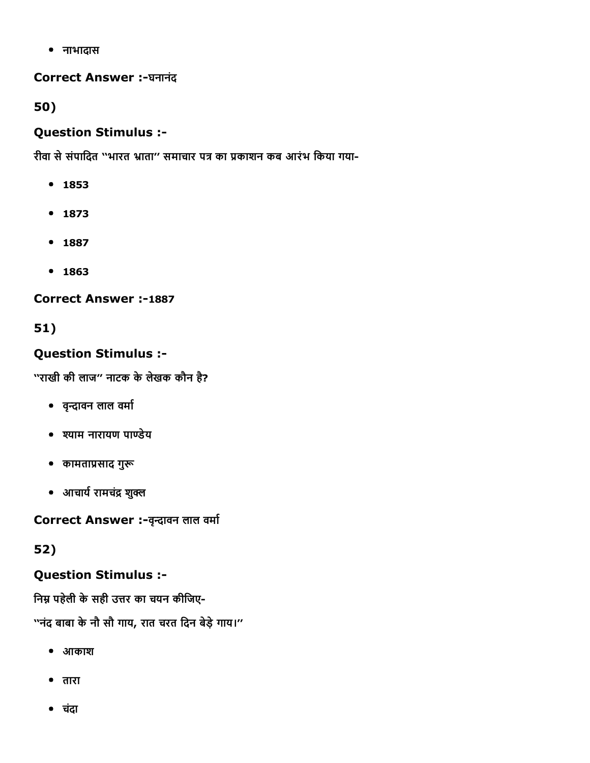नाभादास

### Correct Answer :-घनानंद

50)

### Question Stimulus :

रीवा से संपादित "भारत भ्राता" समाचार पत्र का प्रकाशन कब आरंभ किया गया-

- 1853
- $1873$
- 1887
- $1863$

### **Correct Answer :-1887**

# 51)

# Question Stimulus :

''राखी की लाज'' नाटक के लेखक कौन है?

- वृन्दावन लाल वर्मा
- ᦶयाम नारायण पाᦶेय
- कामताप्रसाद गुरू
- आचार्य रामचंद्र शुक्ल

Correct Answer :- वृन्दावन लाल वर्मा

# 52)

# Question Stimulus :

निम्न पहेली के सही उत्तर का चयन कीजिए-

''नंद बाबा केनौ सौ गाय, रात चरत िदन बेड़ेगाय।''

- आकाश
- तारा
- चदंा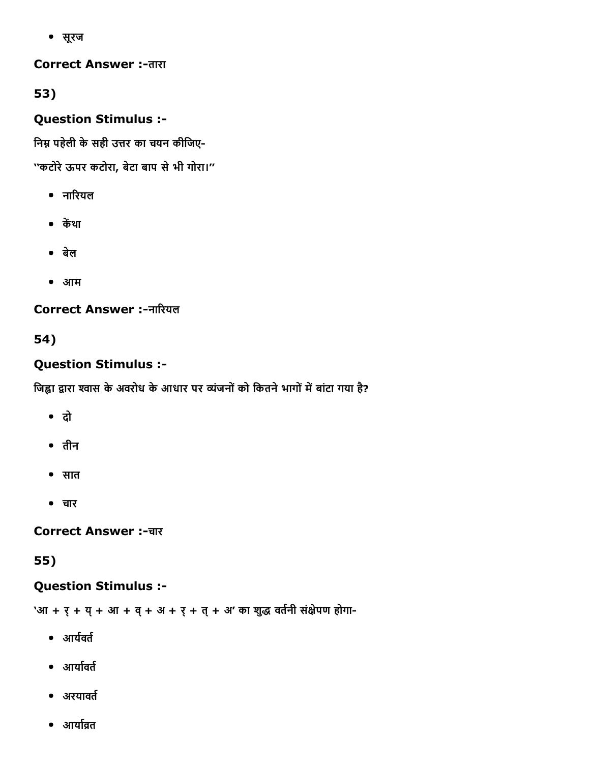सूरज

**Correct Answer :-तारा** 

53)

Question Stimulus :

निम्न पहेली के सही उत्तर का चयन कीजिए-

''कटोरेऊपर कटोरा, बेटा बाप सेभी गोरा।''

- नारियल
- केंथा
- बेल
- आम

Correct Answer :-नारियल

54)

# Question Stimulus :

जिह्वा द्वारा श्वास के अवरोध के आधार पर व्यंजनों को कितने भागों में बांटा गया है?

- दो
- तीन
- सात
- चार

**Correct Answer :-चार** 

55)

### Question Stimulus :

'आ + र् + य् + आ + व् + अ + र् + त् + अ' का शुद्ध वर्तनी संक्षेपण होगा-

- $\bullet$  आर्यवर्त
- आर्यावर्त
- अरयावर्त
- $\bullet$  आर्यावत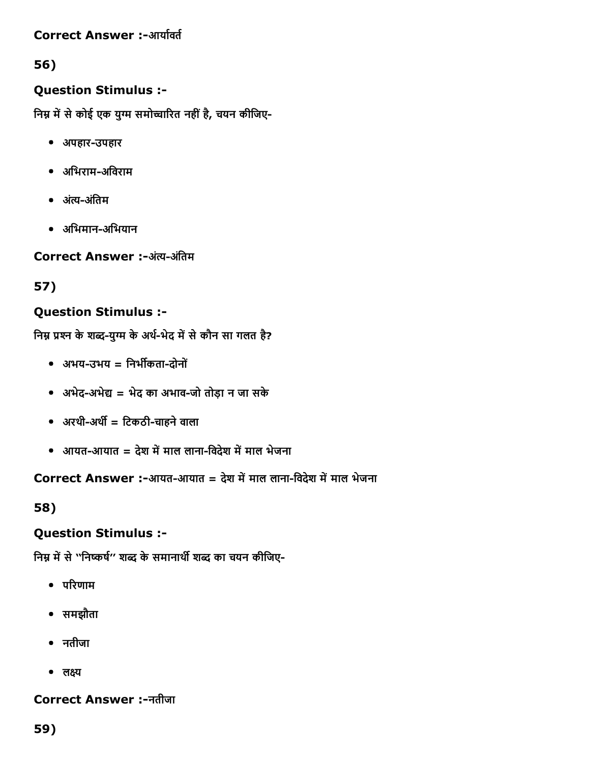#### Correct Answer :-आर्यावर्त

## 56)

### Question Stimulus :

निम्न में से कोई एक युग्म समोच्चारित नहीं है, चयन कीजिए-

- अपहार-उपहार
- अभिराम-अविराम
- अंत्य-अंतिम
- अिभमानअिभयान

Correct Answer :-अंत्य-अंतिम

### 57)

## Question Stimulus :

निम्न प्रश्न के शब्द-युग्म के अर्थ-भेद में से कौन सा गलत है?

- अभयउभय = िनभᦶकतादोनों
- अभेद-अभेद्य = भेद का अभाव-जो तोड़ा न जा सके
- अरथी-अर्थी = टिकठी-चाहने वाला
- आयत-आयात = देश में माल लाना-विदेश में माल भेजना

Correct Answer :-आयत-आयात = देश में माल लाना-विदेश में माल भेजना

58)

### Question Stimulus :

निम्न में से ''निष्कर्ष'' शब्द के समानार्थी शब्द का चयन कीजिए-

- $\bullet$  परिणाम
- समझौता
- नतीजा
- लक्ष्य

### Correct Answer :नतीजा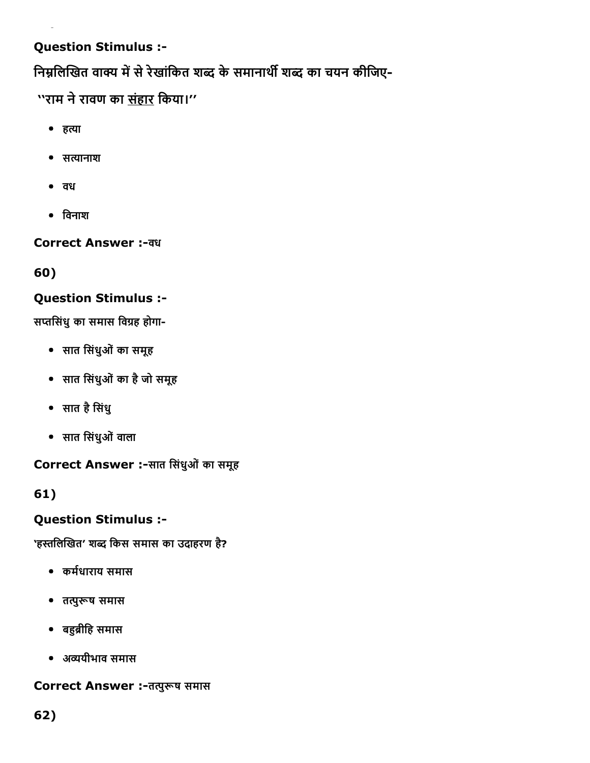## Question Stimulus :

निम्नलिखित वाक्य में से रेखांकित शब्द के समानार्थी शब्द का चयन कीजिए-

''राम ने रावण का <u>संहार</u> किया।''

- हत्या
- सत्यानाश
- वध
- विनाश

**Correct Answer :- वध** 

60)

### Question Stimulus :

सप्तसिंधु का समास विग्रह होगा-

- सात िसंधुओंका समूह
- सात िसंधुओंका हैजो समूह
- सात हैिसंधु
- सात िसंधुओंवाला

Correct Answer :-सात सिंधुओं का समूह

61)

### Question Stimulus :

'हस्तलिखित' शब्द किस समास का उदाहरण है?

- कर्मधाराय समास
- तᦶुᦶष समास
- बᦶᦶीिह समास
- अᦶयीभाव समास

Correct Answer :- तत्पुरूष समास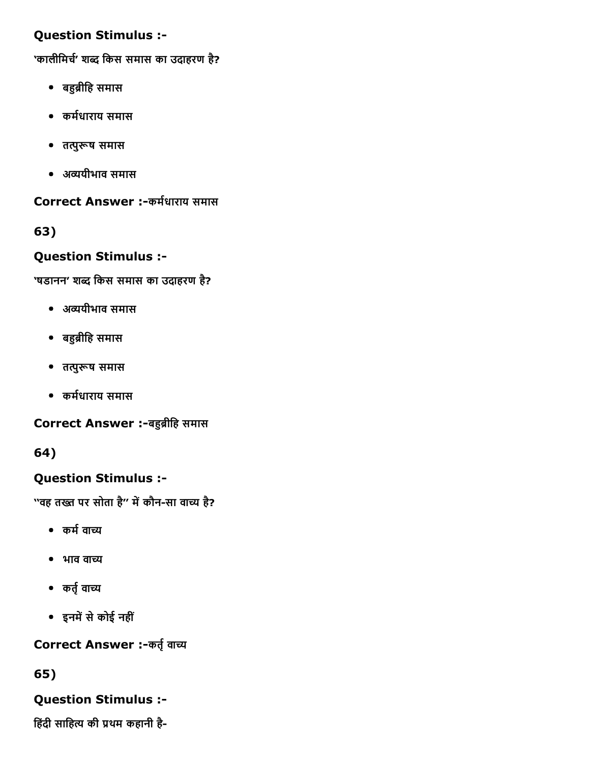### Question Stimulus :

'कालीमिर्च' शब्द किस समास का उदाहरण है?

- बहुब्रीहि समास
- कर्मधाराय समास
- तत्पुरूष समास
- अᦶयीभाव समास

Correct Answer :-कर्मधाराय समास

63)

# Question Stimulus :

'षडानन' शब्द किस समास का उदाहरण है?

- अᦶयीभाव समास
- बहुब्रीहि समास
- तत्पुरूष समास
- कर्मधाराय समास

Correct Answer :-बहुब्रीहि समास

64)

### Question Stimulus :

''वह तख्त पर सोता है'' में कौन-सा वाच्य है?

- कर्म वाच्य
- $\bullet$  भाव वाच्य
- कर्तृ वाच्य
- इनमें से कोई नहीं

Correct Answer :-कर्तृ वाच्य

65)

### Question Stimulus :

हिंदी साहित्य की प्रथम कहानी है-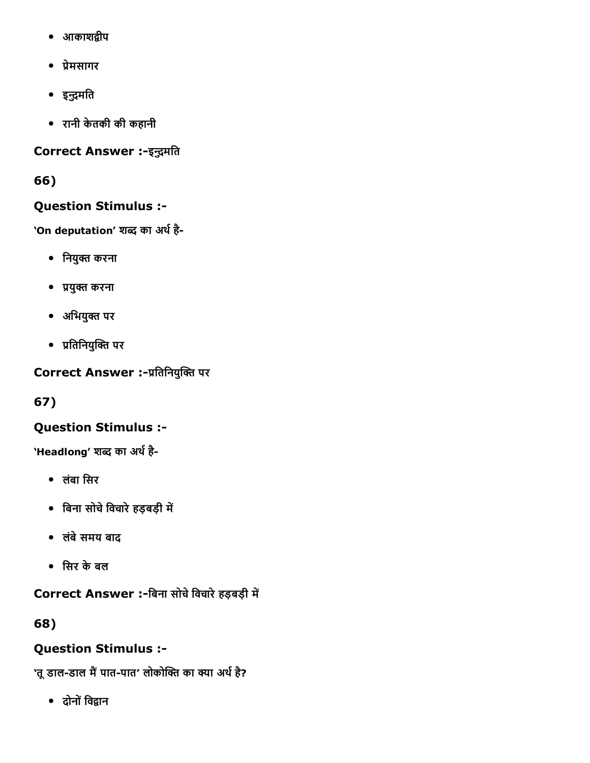- आकाशद्वीप
- ᦶेमसागर
- इन्द्रमति
- रानी केतकी की कहानी

### Correct Answer :-इन्द्रमति

66)

## Question Stimulus :

'On deputation' शब्द का अर्थ है-

- िनयुᦶ करना
- ᦶयुᦶ करना
- अिभयुᦶ पर
- ᦶितिनयुᦶᦶ पर

Correct Answer :-प्रतिनियुक्ति पर

67)

# Question Stimulus :

'Headlong' शब्द का अर्थ है-

- लंबा िसर
- िबना सोचेिवचारेहड़बड़ी मᦶ
- लंबेसमय बाद
- िसर केबल

Correct Answer :-बिना सोचे विचारे हड़बड़ी में

68)

# Question Stimulus :

'तू डाल-डाल मैं पात-पात' लोकोक्ति का क्या अर्थ है?

• दोनों विद्वान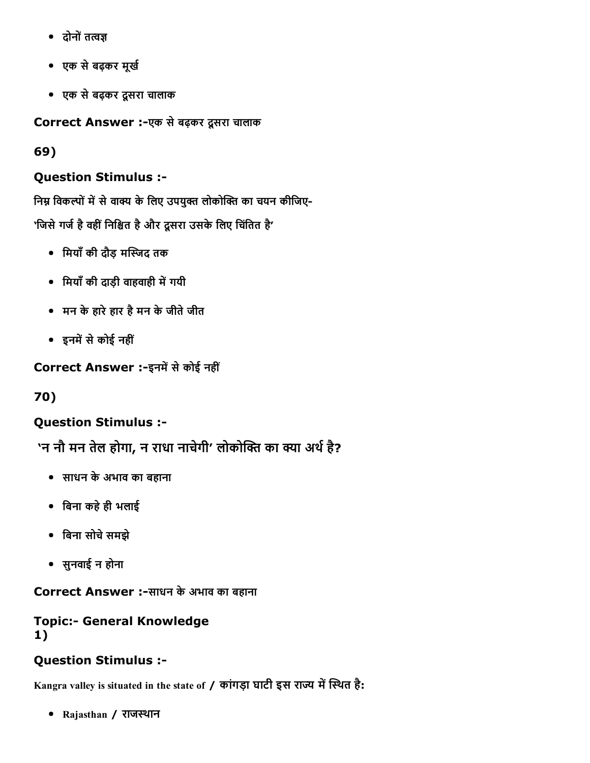- दोनों तत्वज्ञ
- एक सेबढ़कर मूखᦶ
- एक सेबढ़कर दूसरा चालाक

Correct Answer :-एक से बढ़कर दूसरा चालाक

69)

## Question Stimulus :

निम्न विकल्पों में से वाक्य के लिए उपयुक्त लोकोक्ति का चयन कीजिए-'जिसे गर्ज है वहीं निश्चित है और दूसरा उसके लिए चिंतित है'

- िमयाँकी दौड़ मᦶᦶद तक
- मियाँ की दाड़ी वाहवाही में गयी
- मन केहारेहार हैमन केजीतेजीत
- इनमें से कोई नहीं

Correct Answer :-इनमें से कोई नहीं

70)

# Question Stimulus :

'न नौ मन तेल होगा, न राधा नाचेगी' लोकोक्ति का क्या अर्थ है?

- साधन केअभाव का बहाना
- िबना कहेही भलाई
- िबना सोचेसमझे
- सुनवाई न होना

Correct Answer :-साधन के अभाव का बहाना

### **Topic:- General Knowledge** 1)

### Question Stimulus :

Kangra valley is situated in the state of / कांगड़ा घाटी इस राज्य में स्थित है:

• Rajasthan / राजस्थान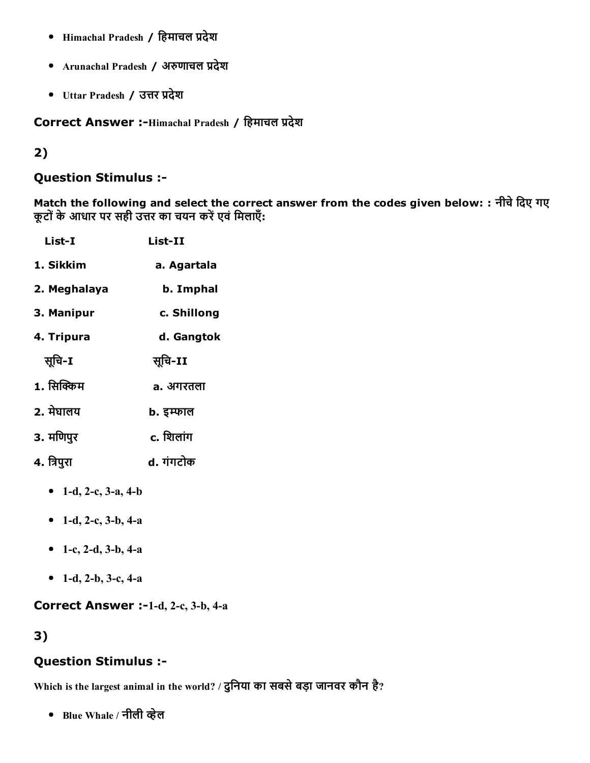- Himachal Pradesh / हिमाचल प्रदेश
- Arunachal Pradesh / अरुणाचल प्रदेश
- Uttar Pradesh / उत्तर प्रदेश

Correct Answer :-Himachal Pradesh / हिमाचल प्रदेश

#### 2)

#### Question Stimulus :

Match the following and select the correct answer from the codes given below: : नीचे दिए गए कूटों के आधार पर सही उत्तर का चयन करें एवं मिलाएँ:

| List-I       | List-II     |
|--------------|-------------|
| 1. Sikkim    | a. Agartala |
| 2. Meghalaya | b. Imphal   |
| 3. Manipur   | c. Shillong |
| 4. Tripura   | d. Gangtok  |
| सुचि-I       | सूचि-II     |
| 1. सिक्किम   | a. अगरतला   |
| 2. मेघालय    | b. इम्फाल   |
| 3. मणिपुर    | c. शिलांग   |
| 4. त्रिपुरा  | d. गंगटोक   |

- 1-d, 2-c, 3-a, 4-b
- 1-d, 2-c, 3-b, 4-a
- 1-c, 2-d, 3-b, 4-a
- 1-d, 2-b, 3-c, 4-a

#### Correct Answer :-1-d, 2-c, 3-b, 4-a

3)

### Question Stimulus :

Which is the largest animal in the world? / दुिनया का सबसेबड़ा जानवर कौन है?

• Blue Whale / नीली व्हेल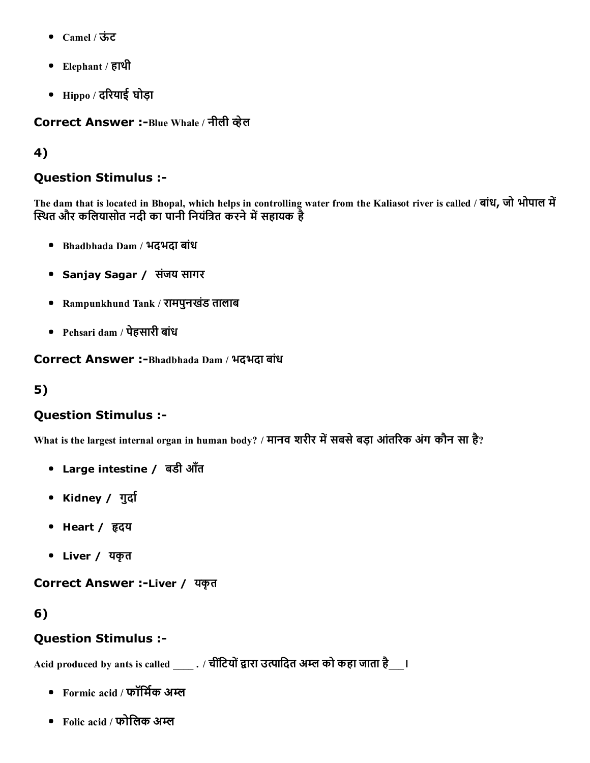- Camel / ऊंट
- Elephant / हाथी
- $\bullet$  Hippo / दरियाई घोड़ा

Correct Answer :-Blue Whale / नीली व्हेल

#### 4)

#### Question Stimulus :

The dam that is located in Bhopal, which helps in controlling water from the Kaliasot river is called / बांध, जो भोपाल में स्थित और कलियासोत नदी का पानी नियंत्रित करने में सहायक है

- Bhadbhada Dam / भदभदा बांध
- Sanjay Sagar / संजय सागर
- Rampunkhund Tank / रामपुनखडंतालाब
- Pehsari dam / पेहसारी बांध

Correct Answer :-Bhadbhada Dam / भदभदा बांध

### 5)

#### Question Stimulus :

What is the largest internal organ in human body? / मानव शरीर में सबसे बड़ा आंतरिक अंग कौन सा है?

- Large intestine / बडी आँत
- Kidney / गुर्दा
- Heart / हृदय
- Liver / यकृत

Correct Answer :-Liver / यकृत

#### 6)

#### Question Stimulus :

Acid produced by ants is called \_\_\_\_\_ . / चीटियों द्वारा उत्पादित अम्ल को कहा जाता है\_\_\_।

- Formic acid / फॉर्मिक अम्ल
- Folic acid / फोलिक अम्ल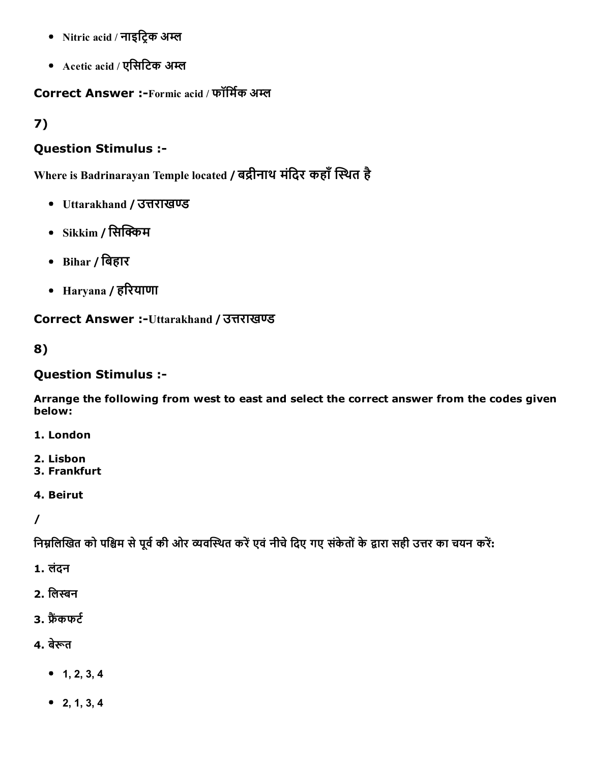- Nitric acid / नाइट्रिक अम्ल
- Acetic acid / एसिटिक अम्ल

Correct Answer :-Formic acid / फॉर्मिक अम्ल

7)

#### Question Stimulus :

Where is Badrinarayan Temple located / बद्रीनाथ मंदिर कहाँ स्थित है

- Uttarakhand / उत्तराखण्ड
- $\bullet$  Sikkim / सिक्किम
- Bihar / िबहार
- Haryana / हरियाणा

Correct Answer :-Uttarakhand / उत्तराखण्ड

8)

#### Question Stimulus :

Arrange the following from west to east and select the correct answer from the codes given below:

1. London

- 2. Lisbon
- 3. Frankfurt
- 4. Beirut

/

निम्नलिखित को पश्चिम से पूर्व की ओर व्यवस्थित करें एवं नीचे दिए गए संकेतों के द्वारा सही उत्तर का चयन करें:

1. लंदन

- 2. लिस्बन
- 3. फैंकफ $\epsilon$
- 4. बेरूत
	- $-1, 2, 3, 4$
	- 2, 1, 3, 4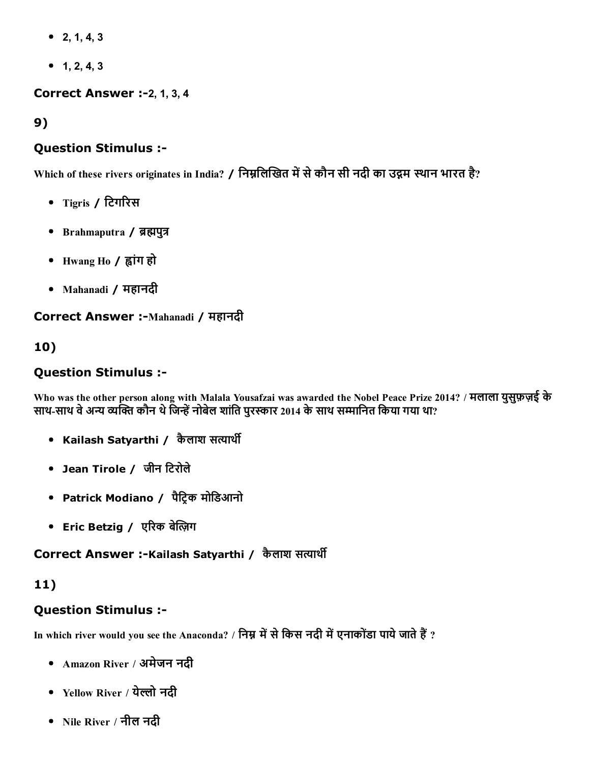- $\bullet$  2, 1, 4, 3
- $-1, 2, 4, 3$

#### **Correct Answer :-2, 1, 3, 4**

9)

#### Question Stimulus :

Which of these rivers originates in India? / निम्नलिखित में से कौन सी नदी का उद्गम स्थान भारत है?

- Tigris / टिगरिस
- Brahmaputra / ब्रह्मपुत्र
- Hwang Ho / ᦶांग हो
- Mahanadi / महानदी

#### Correct Answer :-Mahanadi / महानदी

### 10)

#### Question Stimulus :

Who was the other person along with Malala Yousafzai was awarded the Nobel Peace Prize 2014? / मलाला युसुफ़ज़ई के साथ-साथ वे अन्य व्यक्ति कौन थे जिन्हें नोबेल शांति पुरस्कार 2014 के साथ सम्मानित किया गया था?

- Kailash Satyarthi / कैलाश सत्यार्थी
- Jean Tirole / जीन िटरोले
- Patrick Modiano / पैट्रिक मोडिआनो
- Eric Betzig / एरिक बेल्ज़िग

#### Correct Answer :-Kailash Satyarthi / कैलाश सत्यार्थी

### 11)

### Question Stimulus :

In which river would you see the Anaconda? / निम्न में से किस नदी में एनाकोंडा पाये जाते हैं ?

- Amazon River / अमेजन नदी
- Yellow River / येल्लो नदी
- Nile River / नील नदी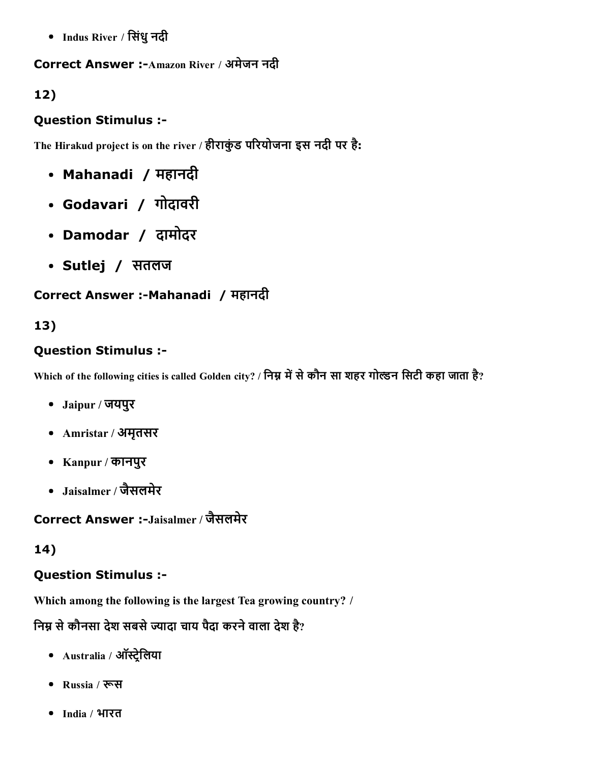Indus River / िसंधुनदी

#### Correct Answer :- Amazon River / अमेजन नदी

## 12)

### Question Stimulus :

The Hirakud project is on the river / हीराकुंड परियोजना इस नदी पर है:

- Mahanadi / महानदी
- Godavari / गोदावरी
- Damodar / दामोदर
- Sutlej / सतलज

# Correct Answer :- Mahanadi / महानदी

## 13)

### Question Stimulus :

Which of the following cities is called Golden city? / निम्न में से कौन सा शहर गोल्डन सिटी कहा जाता है?

- Jaipur / जयपुर
- Amristar / अमृतसर
- Kanpur / कानपुर
- Jaisalmer / जैसलमेर

Correct Answer :-Jaisalmer / जैसलमेर

# 14)

### Question Stimulus :

Which among the following is the largest Tea growing country? /

निम्न से कौनसा देश सबसे ज्यादा चाय पैदा करने वाला देश है?

- Australia / ऑस्ट्रेलिया
- Russia / रूस
- India / भारत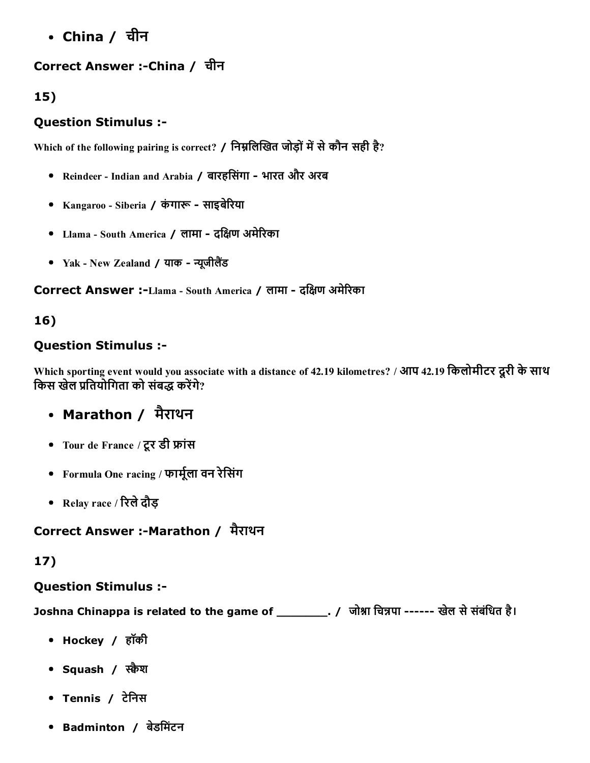China / चीन

## Correct Answer :-China / चीन

### 15)

### Question Stimulus :

Which of the following pairing is correct? / निम्नलिखित जोड़ों में से कौन सही है?

- Reindeer Indian and Arabia / बारहिसंगा भारत और अरब
- Kangaroo Siberia / कंगारू साइबेरिया
- Llama South America / लामा दक्षिण अमेरिका
- Yak New Zealand / याक न्यूजीलैंड

Correct Answer :-Llama - South America / लामा - दक्षिण अमेरिका

## 16)

### Question Stimulus :

Which sporting event would you associate with a distance of 42.19 kilometres? / आप 42.19 िकलोमीटर दूरी केसाथ किस खेल प्रतियोगिता को संबद्ध करेंगे?

# Marathon / मैराथन

- Tour de France / टूर डी ᦶांस
- Formula One racing / फार्मूला वन रेसिंग
- Relay race / ᦶरलेदौड़

### Correct Answer :-Marathon / मैराथन

### 17)

### Question Stimulus :

Joshna Chinappa is related to the game of \_\_\_\_\_\_\_\_\_. / जोश्ना चिन्नपा ------ खेल से संबंधित है।

- Hockey / हॉकी
- Squash / स्क्वैश
- Tennis / टेनिस
- Badminton / बेडिमंटन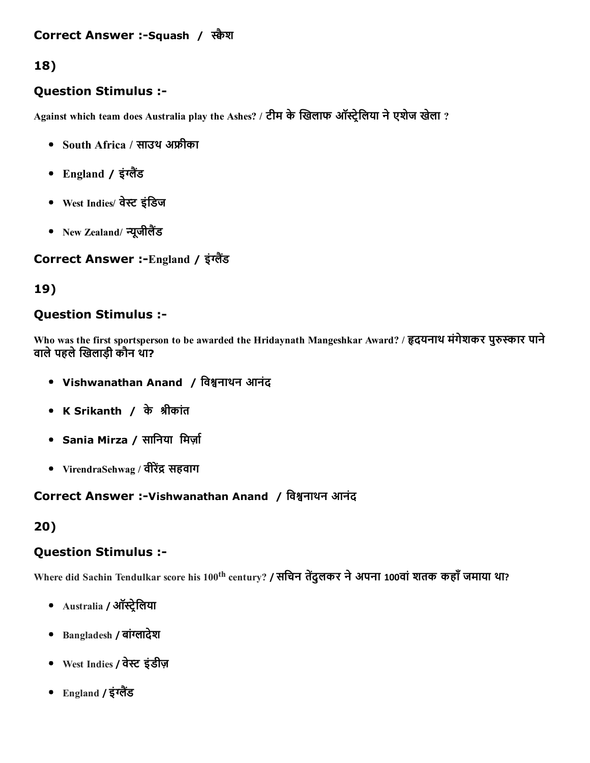## 18)

#### Question Stimulus :

Against which team does Australia play the Ashes? / टीम के खिलाफ ऑस्ट्रेलिया ने एशेज खेला ?

- South Africa / साउथ अᦶीका
- England / इंग्लैंड
- West Indies/ वेस्ट इंडिज
- New Zealand/ न्यूजीलैंड

#### Correct Answer :-England / इंग्लैंड

### 19)

#### Question Stimulus :

Who was the first sportsperson to be awarded the Hridaynath Mangeshkar Award? / हृदयनाथ मंगेशकर पुरुस्कार पाने वाले पहले खिलाडी कौन था?

- Vishwanathan Anand / विश्वनाथन आनंद
- K Srikanth / केᦶीकांत
- Sania Mirza / सानिया मिर्ज़ा
- VirendraSehwag / वीरेंद्र सहवाग

### Correct Answer :-Vishwanathan Anand / विश्वनाथन आनंद

# 20)

### Question Stimulus :

Where did Sachin Tendulkar score his 100<sup>th</sup> century? **/ सचिन तेंदुलकर ने अपना 100वां शतक कहाँ जमाया था**?

- Australia / ऑस्ट्रेलिया
- Bangladesh / बांग्लादेश
- West Indies / वेᦶ इंडीज़
- England / इंग्लैंड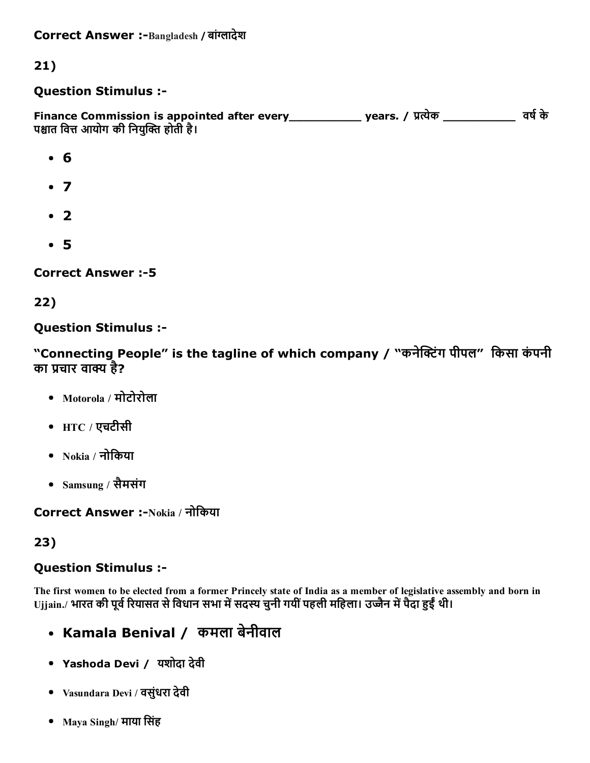Correct Answer :-Bangladesh / बांग्लादेश

### 21)

#### Question Stimulus :

Finance Commission is appointed after every\_\_\_\_\_\_\_\_\_\_\_\_\_ years. / प्रत्येक \_\_\_\_\_\_\_\_\_\_\_\_\_\_ वर्ष के पश्चात वित्त आयोग की नियुक्ति होती है।

- 6
- $\bullet$  7
- $\cdot$  2
- 5

Correct Answer :5

#### 22)

#### Question Stimulus :

"Connecting People" is the tagline of which company / "कनेक्टिंग पीपल" किसा कंपनी का प्रचार वाक्य है?

- Motorola / मोटोरोला
- $HTC / \nabla \nabla T$ रचटीसी
- $\bullet$  Nokia / नोकिया
- Samsung / सैमसंग

Correct Answer :-Nokia / नोकिया

#### 23)

#### Question Stimulus :

The first women to be elected from a former Princely state of India as a member of legislative assembly and born in Ujjain./ भारत की पूर्व रियासत से विधान सभा में सदस्य चुनी गयीं पहली महिला। उज्जैन में पैदा हुईं थी।

- Kamala Benival / कमला बेनीवाल
- Yashoda Devi / यशोदा देवी
- Vasundara Devi / वसुंधरा देवी
- Maya Singh/ माया सिंह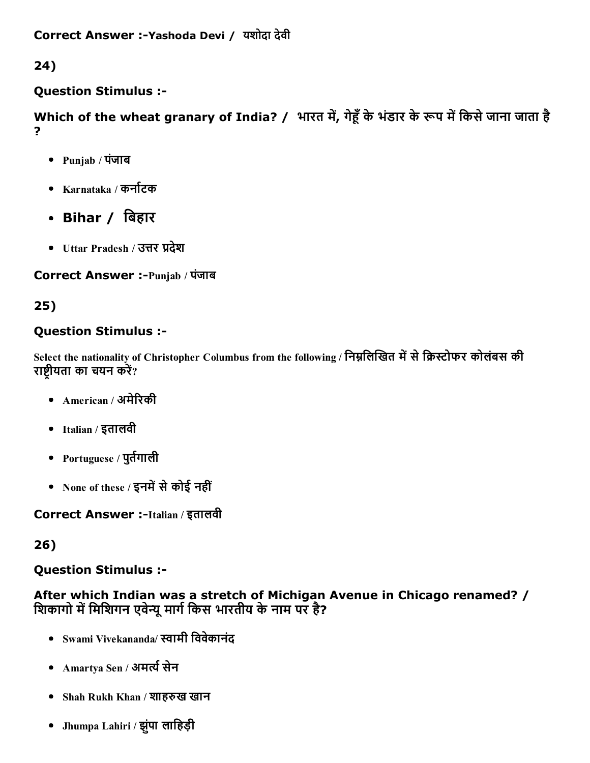24)

### Question Stimulus :

Which of the wheat granary of India? / भारत में, गेहूँ के भंडार के रूप में किसे जाना जाता है ?

- Punjab / पंजाब
- Karnataka / कर्नाटक
- Bihar / िबहार
- Uttar Pradesh / उत्तर प्रदेश

Correct Answer :-Punjab / पंजाब

### 25)

### Question Stimulus :

Select the nationality of Christopher Columbus from the following / निम्नलिखित में से क्रिस्टोफर कोलंबस की राष्ट्रीयता का चयन करें?

- American / अमेरिकी
- Italian / इतालवी
- Portuguese / पुर्तगाली
- None of these / इनमें से कोई नहीं

Correct Answer :-Italian / इतालवी

### 26)

### Question Stimulus :

After which Indian was a stretch of Michigan Avenue in Chicago renamed? / शिकागो में मिशिगन एवेन्यू मार्ग किस भारतीय के नाम पर है?

- Swami Vivekananda/ ᦶामी िववेकानंद
- Amartya Sen / अमर्त्य सेन
- Shah Rukh Khan / शाहरुख खान
- Jhumpa Lahiri / झुपंा लािहड़ी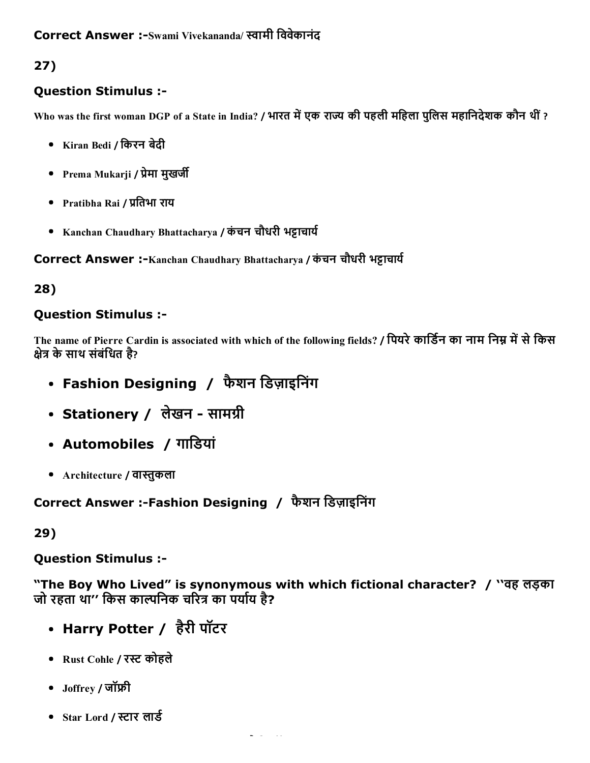### Correct Answer :-Swami Vivekananda/ स्वामी विवेकानंद

# 27)

### Question Stimulus :

Who was the first woman DGP of a State in India? / भारत में एक राज्य की पहली महिला पुलिस महानिदेशक कौन थीं ?

- Kiran Bedi / िकरन बेदी
- Prema Mukarji / प्रेमा मुखर्जी
- Pratibha Rai / प्रतिभा राय
- Kanchan Chaudhary Bhattacharya / कंचन चौधरी भट्टाचार्य

Correct Answer :-Kanchan Chaudhary Bhattacharya / कंचन चौधरी भट्टाचार्य

### 28)

### Question Stimulus :

The name of Pierre Cardin is associated with which of the following fields? / पियरे कार्डिन का नाम निम्न में से किस क्षेत्र के साथ संबंधित है?

- Fashion Designing / फैशन डिज़ाइनिंग
- Stationery / लेखन सामग्री
- Automobiles / गािडयां
- Architecture / वास्तुकला

Correct Answer :Fashion Designing / फैशन िडज़ाइिनंग

### 29)

Question Stimulus :

"The Boy Who Lived" is synonymous with which fictional character? / ''वह लड़का जो रहता था'' किस काल्पनिक चरित्र का पर्याय है?

- Harry Potter / हैरी पॉटर
- Rust Cohle / रᦶ कोहले
- Joffrey / जॉᦶी
- Star Lord / स्टार लार्ड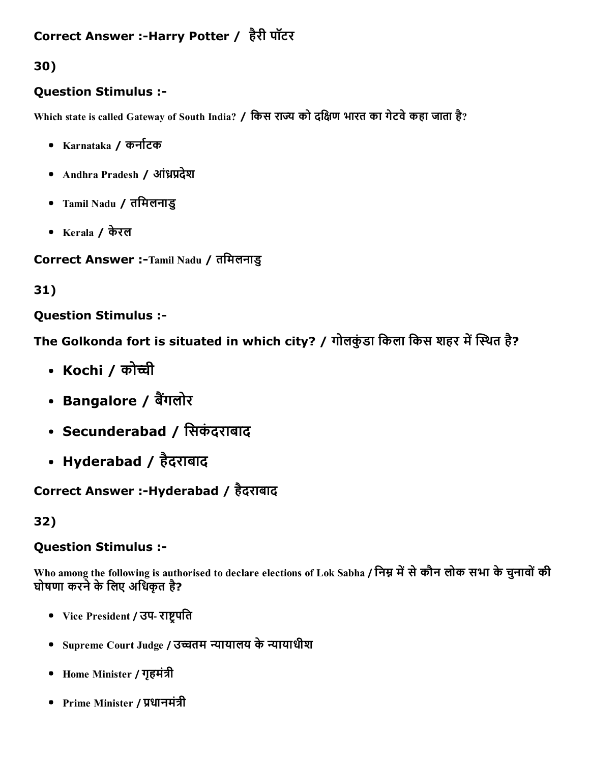## Correct Answer :-Harry Potter / हैरी पॉटर

30)

### Question Stimulus :

Which state is called Gateway of South India? / किस राज्य को दक्षिण भारत का गेटवे कहा जाता है?

- Karnataka / कनाᦶटक
- Andhra Pradesh / आंध्रप्रदेश
- Tamil Nadu / तिमलनाडु
- Kerala / केरल

Correct Answer :-Tamil Nadu / तमिलनाडु

31)

### Question Stimulus :

The Golkonda fort is situated in which city? / गोलकुंडा किला किस शहर में स्थित है?

- Kochi / कोच्ची
- Bangalore / बैंगलोर
- Secunderabad / सिकंदराबाद
- Hyderabad / हैदराबाद

Correct Answer :-Hyderabad / हैदराबाद

### 32)

#### Question Stimulus :

Who among the following is authorised to declare elections of Lok Sabha / निम्न में से कौन लोक सभा के चुनावों की घोषणा करने के लिए अधिकृत है?

- Vice President / उप- राष्ट्रपति
- Supreme Court Judge / उच्चतम न्यायालय के न्यायाधीश
- Home Minister / गृहमंत्री
- Prime Minister / प्रधानमंत्री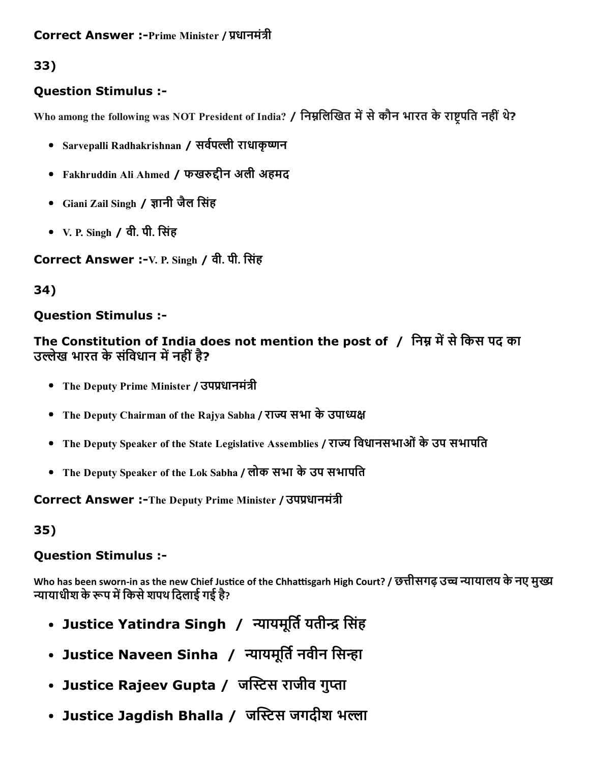# 33)

### Question Stimulus :

Who among the following was NOT President of India? / निम्नलिखित में से कौन भारत के राष्ट्रपति नहीं थे?

- Sarvepalli Radhakrishnan / सर्वपल्ली राधाकृष्णन
- Fakhruddin Ali Ahmed / फखरुद्दीन अली अहमद
- Giani Zail Singh / ᦶानी जैल िसंह
- V. P. Singh / वी. पी. िसंह

Correct Answer :-V. P. Singh / वी. पी. सिंह

### 34)

### Question Stimulus :

The Constitution of India does not mention the post of / निम्न में से किस पद का उल्लेख भारत के संविधान में नहीं है?

- The Deputy Prime Minister / उपप्रधानमंत्री
- The Deputy Chairman of the Rajya Sabha / राज्य सभा के उपाध्यक्ष
- The Deputy Speaker of the State Legislative Assemblies / राज्य विधानसभाओं के उप सभापति
- The Deputy Speaker of the Lok Sabha / लोक सभा केउप सभापित

Correct Answer :-The Deputy Prime Minister / उपप्रधानमंत्री

35)

### Question Stimulus :

Who has been sworn-in as the new Chief Justice of the Chhattisgarh High Court? / छत्तीसगढ़ उच्च न्यायालय के नए मुख्य न्यायाधीश के रूप में किसे शपथ दिलाई गई है?

- Justice Yatindra Singh / न्यायमूर्ति यतीन्द्र सिंह
- Justice Naveen Sinha / न्यायमूर्ति नवीन सिन्हा
- Justice Rajeev Gupta / जस्टिस राजीव गुप्ता
- Justice Jagdish Bhalla / जस्टिस जगदीश भल्ला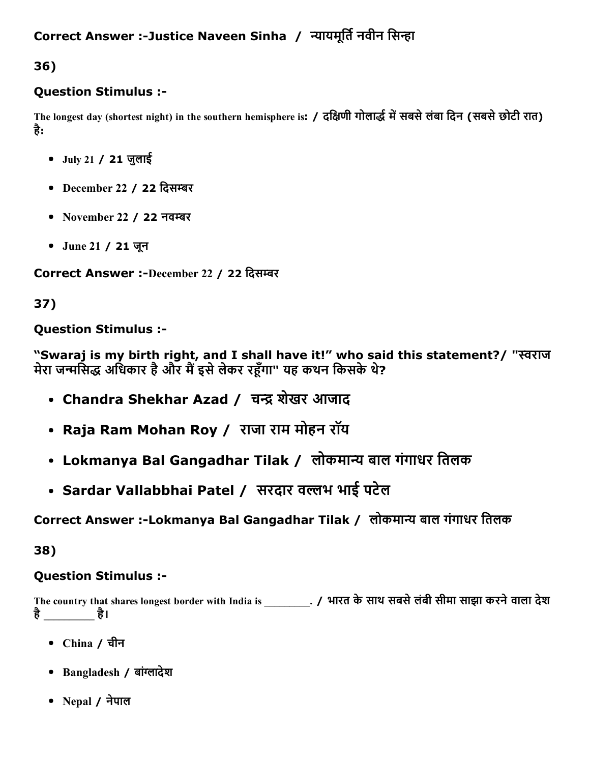### Correct Answer :-Justice Naveen Sinha / न्यायमूर्ति नवीन सिन्हा

36)

#### Question Stimulus :

The longest day (shortest night) in the southern hemisphere is: / दक्षिणी गोलार्द्ध में सबसे लंबा दिन (सबसे छोटी रात) है:

- July 21 / 21 जुलाई
- December 22 / 22 दिसम्बर
- November 22 / 22 नवम्बर
- June 21 / 21 जून

Correct Answer :-December 22 / 22 दिसम्बर

### 37)

Question Stimulus :

"Swaraj is my birth right, and I shall have it!" who said this statement?/ "स्वराज मेरा जन्मसिद्ध अधिकार है और मैं इसे लेकर रहँगा" यह कथन किसके थे?

- Chandra Shekhar Azad / चन्द्र शेखर आजाद
- Raja Ram Mohan Roy / राजा राम मोहन रॉय
- Lokmanya Bal Gangadhar Tilak / लोकमान्य बाल गंगाधर तिलक
- Sardar Vallabbhai Patel / सरदार वल्लभ भाई पटेल

### Correct Answer :-Lokmanya Bal Gangadhar Tilak / लोकमान्य बाल गंगाधर तिलक

38)

### Question Stimulus :

The country that shares longest border with India is \_\_\_\_\_\_\_\_\_. / भारत के साथ सबसे लंबी सीमा साझा करने वाला देश है\_\_\_\_\_\_\_\_\_\_ है।

- China / चीन
- Bangladesh / बांग्लादेश
- Nepal / नेपाल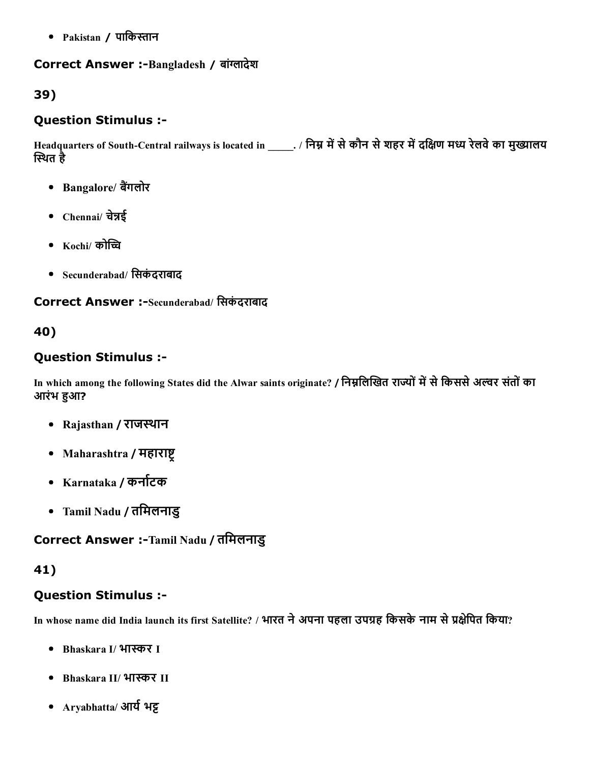• Pakistan / पाकिस्तान

#### Correct Answer :- Bangladesh / बांग्लादेश

#### 39)

#### Question Stimulus :

Headquarters of South-Central railways is located in \_\_\_\_\_. / निम्न में से कौन से शहर में दक्षिण मध्य रेलवे का मुख्यालय स्थित है

- Bangalore/ बैंगलोर
- Chennai/ चेन्नई
- $\bullet$  Kochi/ कोच्चि
- Secunderabad/ िसकंदराबाद

Correct Answer :-Secunderabad/ सिकंदराबाद

#### 40)

#### Question Stimulus :

In which among the following States did the Alwar saints originate? / निम्नलिखित राज्यों में से किससे अल्वर संतों का आरंभ हुआ?

- Rajasthan / राजस्थान
- Maharashtra / महाराष्ट
- Karnataka / कर्नाटक
- Tamil Nadu / तिमलनाडु

#### Correct Answer :-Tamil Nadu / तमिलनाडु

#### 41)

#### Question Stimulus :

In whose name did India launch its first Satellite? / भारत ने अपना पहला उपग्रह किसके नाम से प्रक्षेपित किया?

- Bhaskara I/ भास्कर I
- Bhaskara II/ भास्कर II
- Aryabhatta/ आर्य भट्ट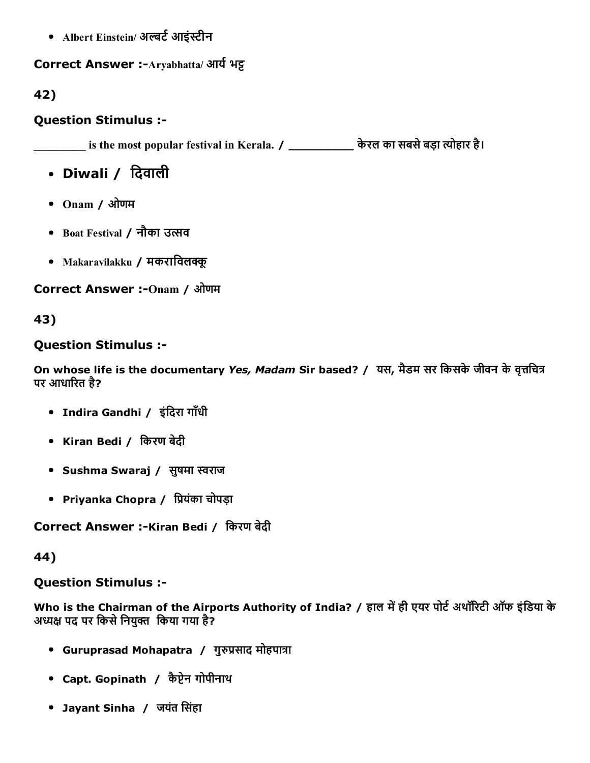• Albert Einstein/ अल्बर्ट आइंस्टीन

#### Correct Answer :-Aryabhatta/ आर्य भट्ट

42)

#### Question Stimulus :

 $\frac{1}{\text{max}}$  is the most popular festival in Kerala. /  $\frac{1}{\text{max}}$  केरल का सबसे बड़ा त्योहार है।

• Diwali / दिवाली

- Onam / ओणम
- Boat Festival / नौका उत्सव
- Makaravilakku / मकराविलक्कू

Correct Answer :- Onam / ओणम

43)

#### Question Stimulus :

On whose life is the documentary *Yes, Madam* Sir based? / यस, मैडम सर किसके जीवन के वृत्तचित्र पर आधारित है?

- Indira Gandhi / इंदिरा गाँधी
- Kiran Bedi / िकरण बेदी
- Sushma Swaraj / सुषमा स्वराज
- Priyanka Chopra / प्रियंका चोपड़ा

Correct Answer :-Kiran Bedi / किरण बेदी

44)

Question Stimulus :

Who is the Chairman of the Airports Authority of India? / हाल में ही एयर पोर्ट अथॉरिटी ऑफ इंडिया के अध्यक्ष पद पर किसे नियुक्त किया गया है?

- Guruprasad Mohapatra / गुरुप्रसाद मोहपात्रा
- Capt. Gopinath / कैप्टेन गोपीनाथ
- Jayant Sinha / जयंत िसंहा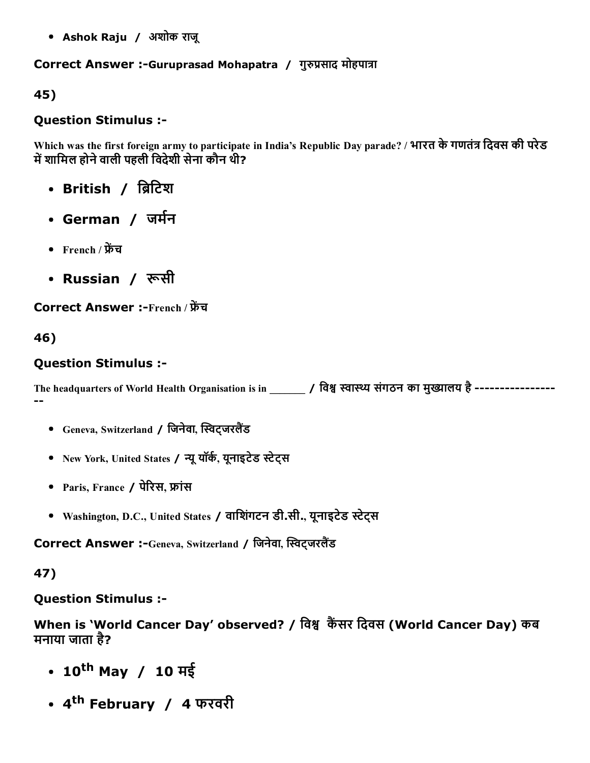Ashok Raju / अशोक राजू

### Correct Answer :-Guruprasad Mohapatra / गुरुप्रसाद मोहपात्रा

45)

#### Question Stimulus :

Which was the first foreign army to participate in India's Republic Day parade? / भारत के गणतंत्र दिवस की परेड में शामिल होने वाली पहली विदेशी सेना कौन थी?

- British / ब्रिटिश
- German *।* जर्मन
- French / फ्रेंच
- Russian */ रू*सी

Correct Answer :-French / फ्रेंच

46)

#### Question Stimulus :

The headquarters of World Health Organisation is in / विश्व स्वास्थ्य संगठन का मुख्यालय है -------------------

- Geneva, Switzerland / जिनेवा, स्विट्जरलैंड
- New York, United States / न्यू यॉर्क, यूनाइटेड स्टेट्स
- Paris, France / पेरिस, फ्रांस
- Washington, D.C., United States / वािशगंटन डी.सी., यूनाइटेड ᦶेट्स

Correct Answer :-Geneva, Switzerland / जिनेवा, स्विट्जरलैंड

47)

Question Stimulus :

When is 'World Cancer Day' observed? / विश्व कैंसर दिवस (World Cancer Day) कब मनाया जाता है?

- 10<sup>th</sup> May / 10 मई
- 4<sup>th</sup> February *।* 4 फरवरी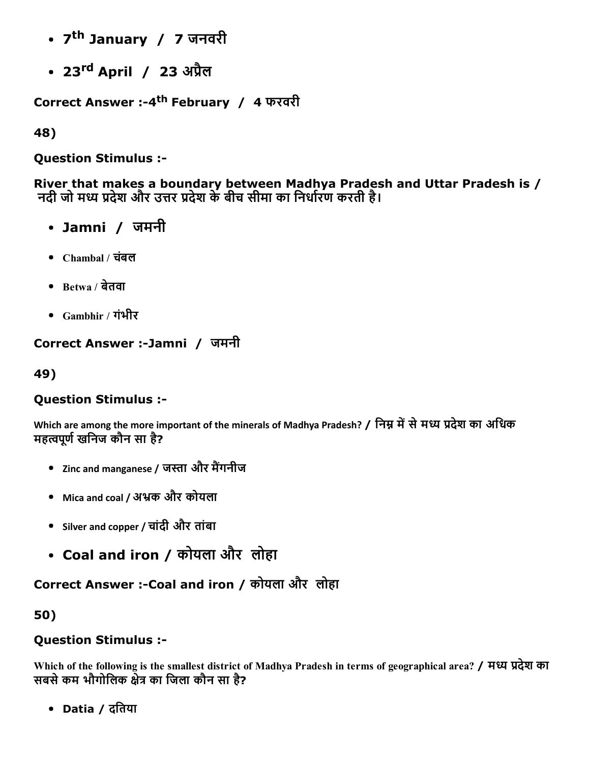- 7<sup>th</sup> January *। 7* जनवरी
- 23 rd April / 23 अᦶैल

Correct Answer :-4<sup>th</sup> February *।* 4 फरवरी

48)

Question Stimulus :

River that makes a boundary between Madhya Pradesh and Uttar Pradesh is / नदी जो मध्य प्रदेश और उत्तर प्रदेश के बीच सीमा का निर्धारण करती है।

- Jamni / जमनी
- Chambal / चबंल
- $\bullet$  Betwa / बेतवा
- Gambhir / गंभीर

## Correct Answer :Jamni / जमनी

49)

### Question Stimulus :

Which are among the more important of the minerals of Madhya Pradesh? / निम्न में से मध्य प्रदेश का अधिक महत्वपर्ण खनिज कौन सा है?

- Zinc and manganese / जस्ता और मैंगनीज
- Mica and coal / अभ्रक और कोयला
- Silver and copper / चांदी और तांबा
- Coal and iron / कोयला और लोहा

Correct Answer :- Coal and iron / कोयला और लोहा

50)

# Question Stimulus :

Which of the following is the smallest district of Madhya Pradesh in terms of geographical area? / मध्य प्रदेश का सबसे कम भौगोलिक क्षेत्र का जिला कौन सा है?

Datia / दितया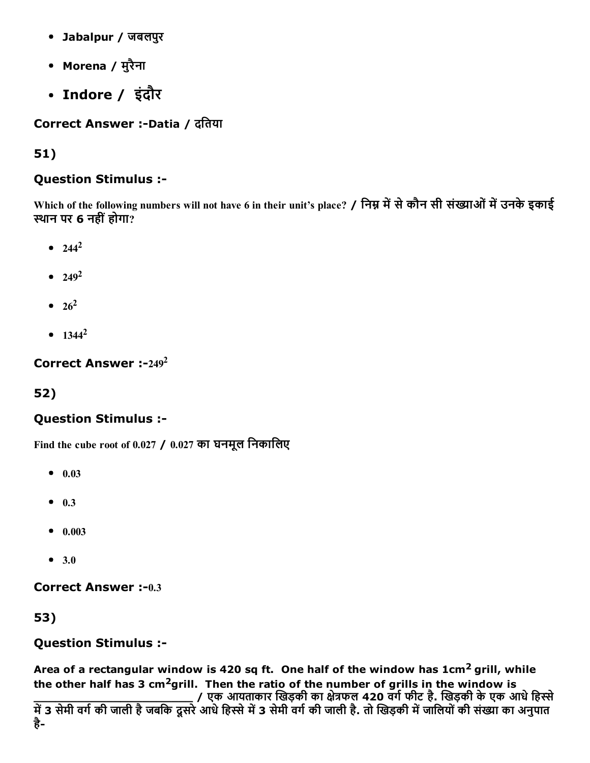- Jabalpur / जबलपुर
- Morena / मुरैना
- Indore / इंदौर

Correct Answer :-Datia / दतिया

## 51)

### Question Stimulus :

Which of the following numbers will not have 6 in their unit's place? / निम्न में से कौन सी संख्याओं में उनके इकाई ᦶथान पर 6 नहींहोगा?

- $244^2$
- 249 2
- 26 2
- 1344 2

Correct Answer :- $249^2$ 

# 52)

### Question Stimulus :

Find the cube root of 0.027 / 0.027 का घनमूल निकालिए

- $0.03$
- $0.3$
- $0.003$
- 3.0

Correct Answer :- 0.3

### 53)

### Question Stimulus :

Area of a rectangular window is 420 sq ft. One half of the window has  $1 \text{cm}^2$  grill, while the other half has 3 cm<sup>2</sup>grill. Then the ratio of the number of grills in the window is

\_\_\_\_\_\_\_\_\_\_\_\_\_\_\_\_\_\_\_\_\_\_ / एक आयताकार ᦶखड़की का ᦶेᦶफल 420 वगᦶफीट है. ᦶखड़की केएक आधेिहᦶे में 3 सेमी वर्ग की जाली है जबकि दूसरे आधे हिस्से में 3 सेमी वर्ग की जाली है. तो खिड़की में जालियों की संख्या का अनुपात है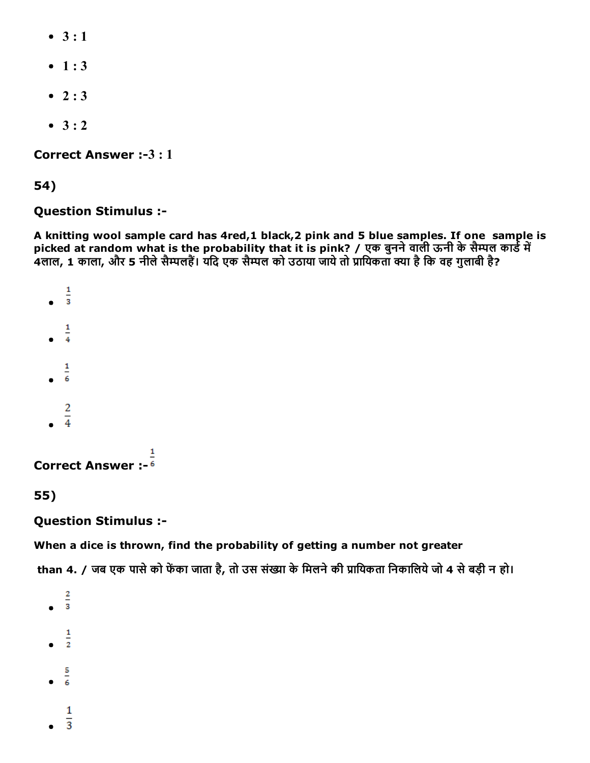- $\bullet$  3 : 1
- $-1:3$
- $2:3$
- $3 : 2$

Correct Answer :-3 : 1

#### 54)

#### Question Stimulus :

A knitting wool sample card has 4red,1 black,2 pink and 5 blue samples. If one sample is picked at random what is the probability that it is pink? / एक बुनने वाली ऊनी के सैम्पल कार्ड में 4लाल, 1 काला, और 5 नीले सैम्पलहैं। यदि एक सैम्पल को उठाया जाये तो प्रायिकता क्या है कि वह गुलाबी है?

```
\frac{1}{3}\bullet\overline{1}\overline{4}1
            \overline{6}\overline{c}\overline{4}1
Correct Answer :
```
#### 55)

#### Question Stimulus :

#### When a dice is thrown, find the probability of getting a number not greater

than 4. / जब एक पासे को फेंका जाता है, तो उस संख्या के मिलने की प्रायिकता निकालिये जो 4 से बड़ी न हो।

 $\frac{2}{3}$  $\bullet$ 1  $\overline{2}$ 5  $\overline{6}$  $\mathbf{1}$ 

 $\overline{3}$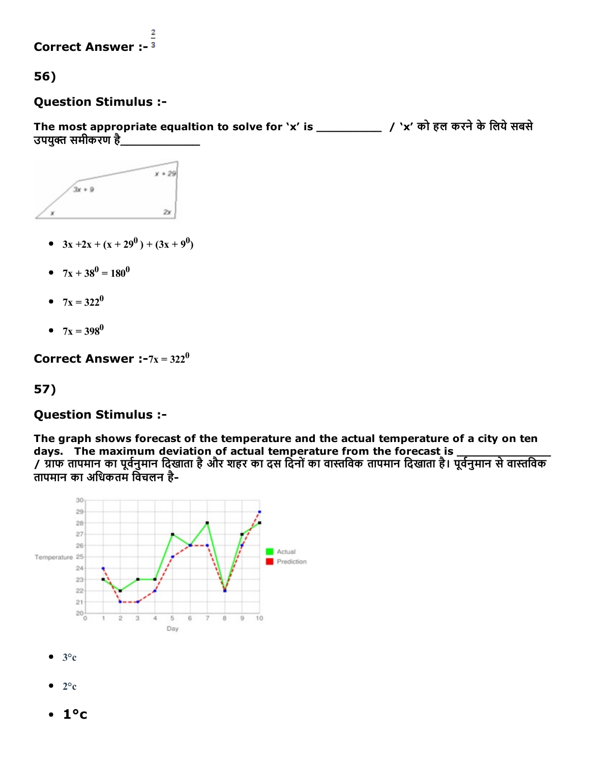#### 2 Correct Answer :

56)

#### Question Stimulus :

The most appropriate equaltion to solve for 'x' is \_\_\_\_\_\_\_\_\_\_\_\_ / 'x' को हल करने के लिये सबसे उपयुक्त समीकरण है\_



- $3x + 2x + (x + 29^0) + (3x + 9^0)$
- $7x + 38^0 = 180^0$
- $7x = 322^0$
- $7x = 398^0$

Correct Answer :- $7x = 322^0$ 

### 57)

#### Question Stimulus :

The graph shows forecast of the temperature and the actual temperature of a city on ten days. The maximum deviation of actual temperature from the forecast is \_\_\_\_\_\_\_\_\_\_\_\_\_ / ᦶाफ तापमान का पूवᦶनुमान िदखाता हैऔर शहर का दस िदनोंका वाᦶिवक तापमान िदखाता है। पूवᦶनुमान सेवाᦶिवक तापमान का अिधकतम िवचलन है



- $\bullet$  3°c
- $\bullet$  2°c
- $\cdot$  1°c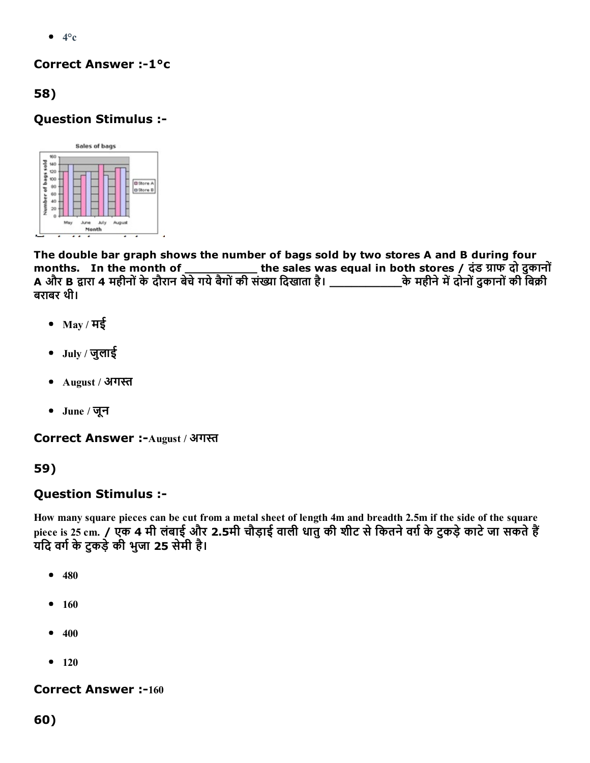$\bullet$  4°c

#### Correct Answer :-1°c

58)

### Question Stimulus :



The double bar graph shows the number of bags sold by two stores A and B during four months. In the month of \_\_\_\_\_\_\_\_\_\_ the sales was equal in both stores / दंड ᦶाफ दो दुकानों A और B ᦶारा 4 महीनोंकेदौरान बेचेगयेबैगोंकी संᦶा िदखाता है। \_\_\_\_\_\_\_\_\_\_केमहीनेमᦶदोनोंदुकानोंकी िबᦶी बराबर थी।

- $\bullet$  May / मई
- July / जुलाई
- $\bullet$  August / अगस्त
- June / जून

Correct Answer :- August / अगस्त

59)

### Question Stimulus :

How many square pieces can be cut from a metal sheet of length 4m and breadth 2.5m if the side of the square piece is 25 cm. / एक 4 मी लंबाई और 2.5मी चौड़ाई वाली धातु की शीट से कितने वर्ग़ के टुकड़े काटे जा सकते हैं यदि वर्ग के टकड़े की भुजा 25 सेमी है।

- 480  $\bullet$
- $\bullet$ 160
- 400  $\bullet$
- $-120$

**Correct Answer :-160**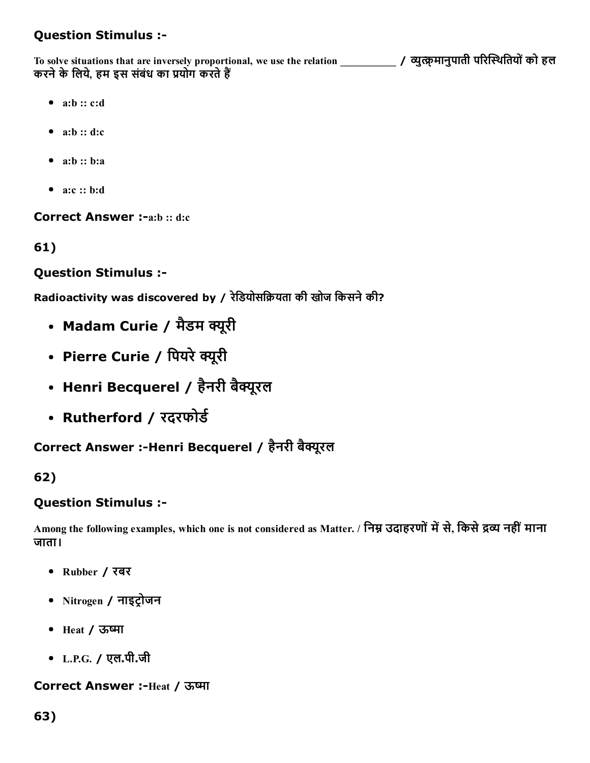### Question Stimulus :

To solve situations that are inversely proportional, we use the relation \_\_\_\_\_\_\_\_\_\_\_\_\_ / व्युत्क्रमानुपाती परिस्थितियों को हल करने के लिये, हम इस संबंध का प्रयोग करते हैं

- $a:b :: c:d$
- $a:b :: d:c$
- $a:b :: b:a$
- a:c :: b:d

Correct Answer :- a:b :: d:c

61)

#### Question Stimulus :

Radioactivity was discovered by / रेडियोसक्रियता की खोज किसने की?

- Madam Curie / मैडम क्यूरी
- Pierre Curie / पियरे क्यूरी
- Henri Becquerel / हैनरी बैक्यूरल
- Rutherford / रदरफोर्ड

Correct Answer :-Henri Becquerel / हैनरी बैक्यूरल

#### 62)

#### Question Stimulus :

Among the following examples, which one is not considered as Matter. / निम्न उदाहरणों में से, किसे द्रव्य नहीं माना जाता।

- Rubber / रबर
- Nitrogen / नाइट्रोजन
- Heat / ऊष्मा
- L.P.G. / एल.पी.जी

#### Correct Answer :-Heat / ऊष्मा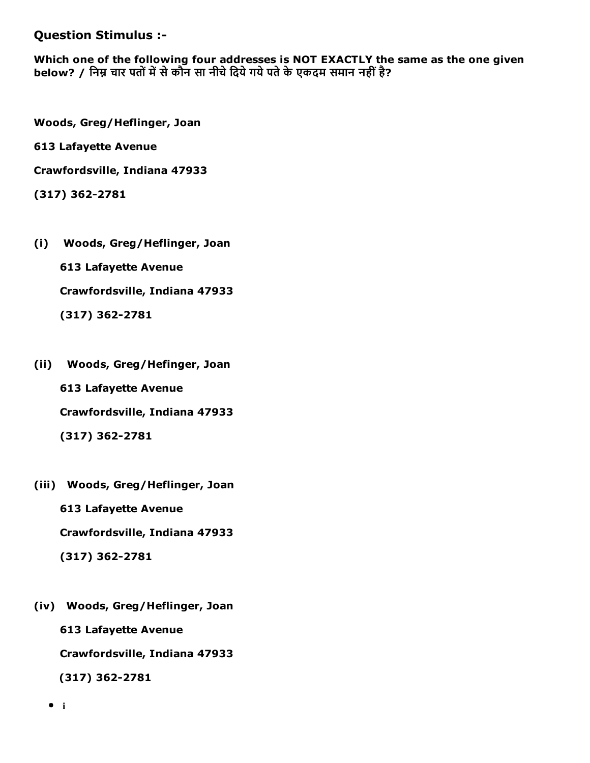#### Question Stimulus :

Which one of the following four addresses is NOT EXACTLY the same as the one given below? / निम्न चार पतों में से कौन सा नीचे दिये गये पते के एकदम समान नहीं है?

Woods, Greg/Heflinger, Joan

613 Lafayette Avenue

Crawfordsville, Indiana 47933

 $(317)$  362-2781

- (i) Woods, Greg/Heflinger, Joan 613 Lafayette Avenue Crawfordsville, Indiana 47933  $(317)$  362-2781
- (ii) Woods, Greg/Hefinger, Joan 613 Lafayette Avenue Crawfordsville, Indiana 47933  $(317) 362 - 2781$
- (iii) Woods, Greg/Heflinger, Joan 613 Lafayette Avenue Crawfordsville, Indiana 47933  $(317) 362 - 2781$
- (iv) Woods, Greg/Heflinger, Joan 613 Lafayette Avenue Crawfordsville, Indiana 47933  $(317)$  362-2781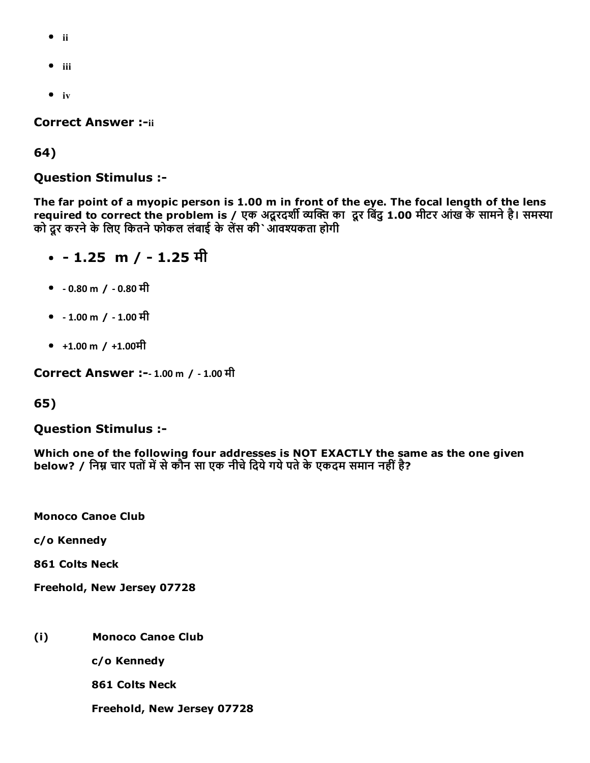- ii
- $\bullet$  iii
- $\bullet$  iv

**Correct Answer :-ii** 

64)

Question Stimulus :

The far point of a myopic person is 1.00 m in front of the eye. The focal length of the lens required to correct the problem is / एक अदूरदर्शी व्यक्ति का दूर बिंदु 1.00 मीटर आंख के सामने है। समस्या को दूर करने के लिए कितने फोकल लंबाई के लेंस की`ओवश्यकता होगी

- $\cdot$  1.25 m / 1.25 मी
- ‐ 0.80 m / ‐ 0.80 मी
- ‐ 1.00 m / ‐ 1.00 मी
- $+1.00 \text{ m}$  /  $+1.00 \text{ H}$

Correct Answer :‐ 1.00 m / ‐ 1.00 मी

#### 65)

#### Question Stimulus :

Which one of the following four addresses is NOT EXACTLY the same as the one given below? / निम्न चार पतों में से कौन सा एक नीचे दिये गये पते के एकदम समान नहीं है?

Monoco Canoe Club

c/o Kennedy

861 Colts Neck

Freehold, New Jersey 07728

(i) Monoco Canoe Club

c/o Kennedy

861 Colts Neck

Freehold, New Jersey 07728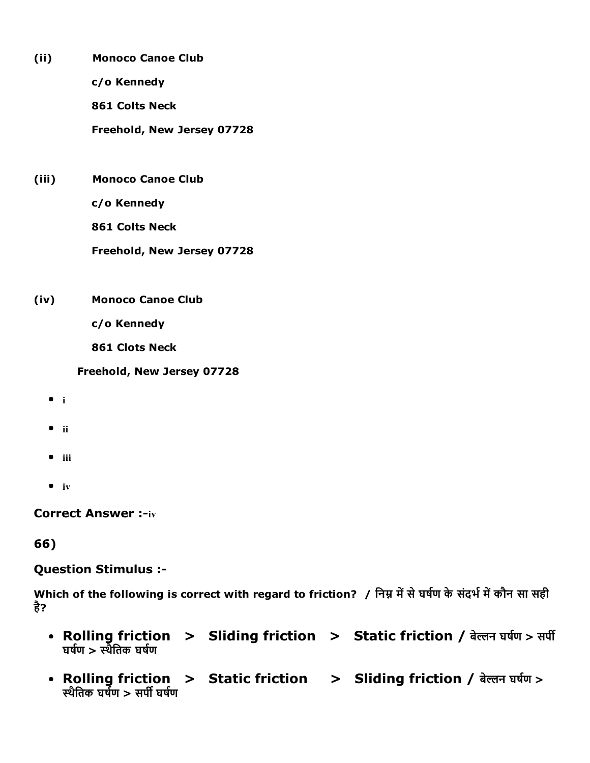- (ii) Monoco Canoe Club c/o Kennedy 861 Colts Neck Freehold, New Jersey 07728
- (iii) Monoco Canoe Club

c/o Kennedy

861 Colts Neck

Freehold, New Jersey 07728

(iv) Monoco Canoe Club

c/o Kennedy

861 Clots Neck

Freehold, New Jersey 07728

- $\bullet$  i
- $\bullet$  ii
- $\bullet$  iii
- $\bullet$  iv

**Correct Answer :-iv** 

### 66)

#### Question Stimulus :

Which of the following is correct with regard to friction? / निम्न में से घर्षण के संदर्भ में कौन सा सही है?

- Rolling friction > Sliding friction > Static friction / बेल्लन घर्षण > सर्पी घर्षण > स्थैतिक घर्षण
- Rolling friction > Static friction > Sliding friction / बेल्लन घर्षण > स्थैतिक घर्षण  $>$  सर्पी घर्षण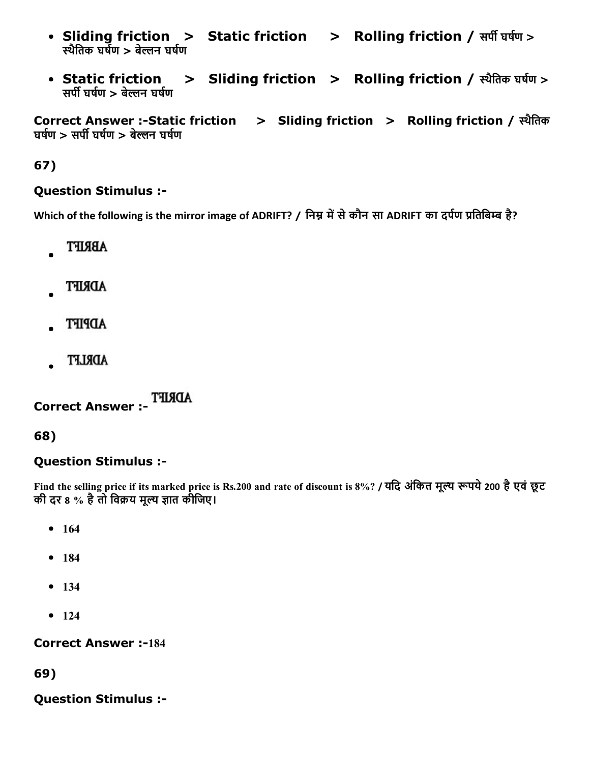- Sliding friction > Static friction > Rolling friction / सर्पी घर्षण > स्थैतिक घर्षण > बेल्लन घर्षण
- Static friction > Sliding friction > Rolling friction / स्थैतिक घर्षण > सर्पी घर्षण > बेल्लन घर्षण

Correct Answer :Static friction > Sliding friction > Rolling friction / ᦶथैितक घर्षण > सर्पी घर्षण > बेल्लन घर्षण

67)

#### Question Stimulus :

Which of the following is the mirror image of ADRIFT? / निम्न में से कौन सा ADRIFT का दर्पण प्रतिबिम्ब है?

- ABRIFT
- **ADRIFT**
- **ADPIFT**
- ADRLFT

Correct Answer :

68)

#### Question Stimulus :

Find the selling price if its marked price is Rs.200 and rate of discount is 8%? / यदि अंकित मूल्य रूपये 200 है एवं छूट की दर 8 % है तो विक्रय मूल्य ज्ञात कीजिए।

- $164$
- 184
- 134
- $124$

**Correct Answer :-184** 

69)

Question Stimulus :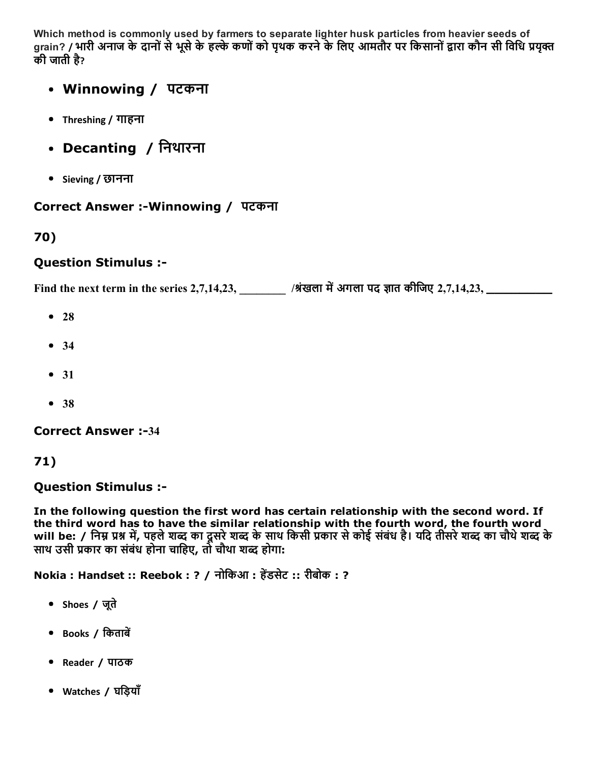Which method is commonly used by farmers to separate lighter husk particles from heavier seeds of grain? / भारी अनाज के दानों से भूसे के हल्के कणों को पृथक करने के लिए आमतौर पर किसानों द्वारा कौन सी विधि प्रयक्त की जाती है?

- Winnowing / पटकना
- Threshing / गाहना
- Decanting / निथारना
- Sieving / छानना

#### Correct Answer :-Winnowing / पटकना

### 70)

#### Question Stimulus :

Find the next term in the series 2,7,14,23,  $\overline{\phantom{a}}$  /श्रंखला में अगला पद ज्ञात कीजिए 2,7,14,23,  $\overline{\phantom{a}}$ 

- $28$
- $34$
- $31$
- $38$

**Correct Answer :-34** 

#### 71)

#### Question Stimulus :

In the following question the first word has certain relationship with the second word. If the third word has to have the similar relationship with the fourth word, the fourth word will be: / निम्न प्रश्न में, पहले शब्द का दूसरे शब्द के साथ किसी प्रकार से कोई संबंध है। यदि तीसरे शब्द का चौथे शब्द के साथ उसी प्रकार का संबंध होना चाहिए, तो चौथा शब्द होगा:

Nokia : Handset :: Reebok : ? / नोकिआ : हेंडसेट :: रीबोक : ?

- Shoes / जूते
- Books / किताबें
- Reader / पाठक
- Watches / घिड़याँ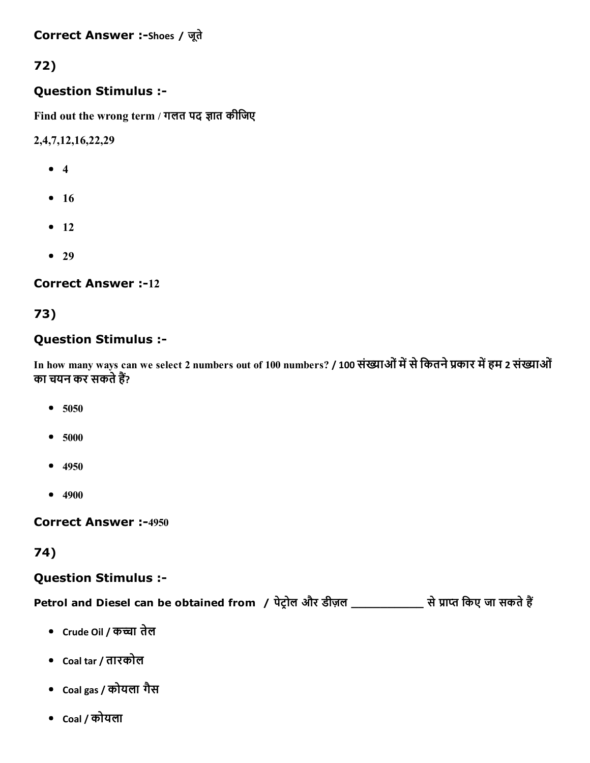Correct Answer :-Shoes / जूते

# 72)

#### Question Stimulus :

Find out the wrong term / गलत पद ज्ञात कीजिए

2,4,7,12,16,22,29

- 4
- $16$
- $12$
- $29$

**Correct Answer :-12** 

### 73)

#### Question Stimulus :

In how many ways can we select 2 numbers out of 100 numbers? / 100 संख्याओं में से कितने प्रकार में हम 2 संख्याओं का चयन कर सकते हैं?

- $5050$
- 5000
- $-4950$
- $4900$

**Correct Answer :-4950** 

### 74)

### Question Stimulus :

Petrol and Diesel can be obtained from / पेट्रोल और डीज़ल \_\_\_\_\_\_\_\_\_\_\_\_\_ से प्राप्त किए जा सकते हैं

- Crude Oil / कच्चा तेल
- Coal tar / तारकोल
- Coal gas / कोयला गैस
- Coal / कोयला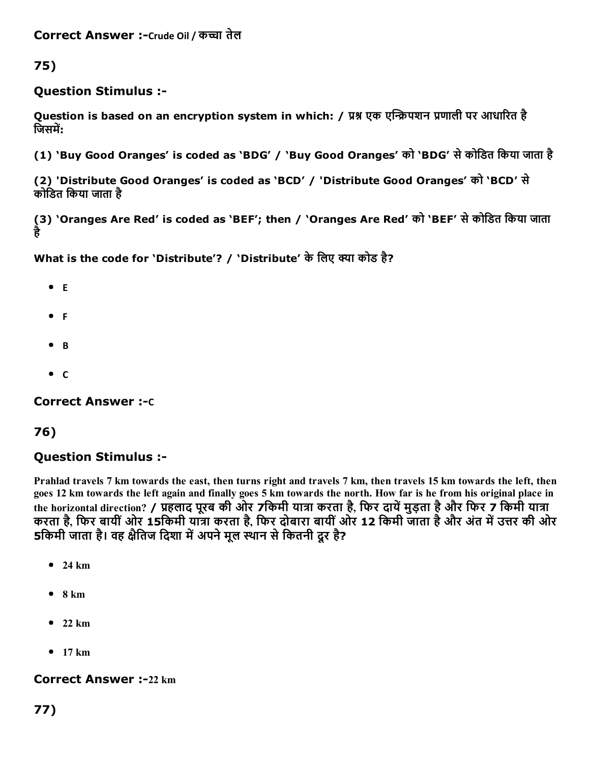75)

#### Question Stimulus :

Question is based on an encryption system in which: / प्रश्न एक एन्क्रिपशन प्रणाली पर आधारित है जिसमें:

(1) 'Buy Good Oranges' is coded as 'BDG' / 'Buy Good Oranges' को 'BDG' सेकोिडत िकया जाता है

(2) 'Distribute Good Oranges' is coded as 'BCD' / 'Distribute Good Oranges' को 'BCD' से कोिडत िकया जाता है

(3) 'Oranges Are Red' is coded as 'BEF'; then / 'Oranges Are Red' को 'BEF' से कोडित किया जाता है

What is the code for 'Distribute'? / 'Distribute' के लिए क्या कोड है?

- $^{\bullet}$  E
- $\bullet$  F
- $\bullet$  B
- $\bullet$  C

**Correct Answer :-**c

#### 76)

### Question Stimulus :

Prahlad travels 7 km towards the east, then turns right and travels 7 km, then travels 15 km towards the left, then goes 12 km towards the left again and finally goes 5 km towards the north. How far is he from his original place in the horizontal direction? / प्रहलाद पूरब की ओर 7किमी यात्रा करता है, फिर दायें मुड़ता है और फिर 7 किमी यात्रा करता है, फिर बायीं ओर 15किमी यात्रा करता है, फिर दोबारा बायीं ओर 12 किमी जाता है और अंत में उत्तर की ओर 5किमी जाता है। वह क्षैतिज दिशा में अपने मूल स्थान से कितनी दूर है?

- $24 km$
- $8 km$
- $22 km$
- $\bullet$  17 km

#### **Correct Answer :-22 km**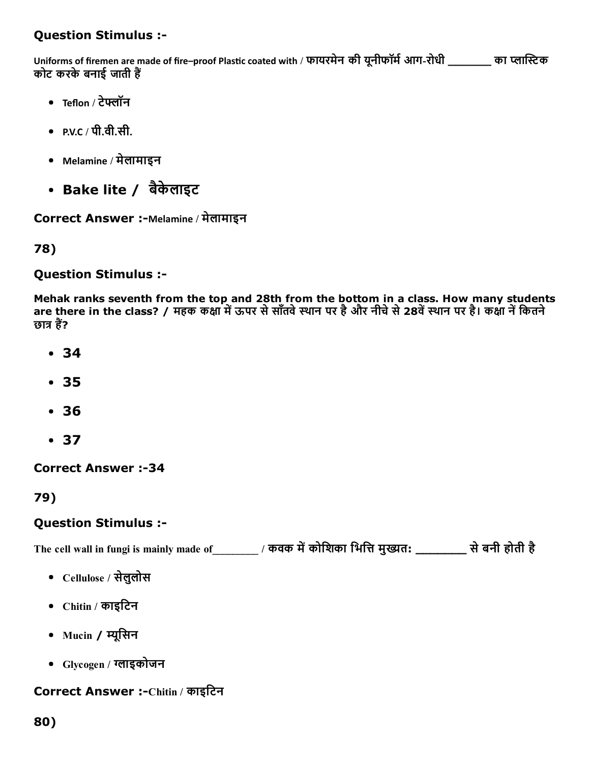### Question Stimulus :

Uniforms of firemen are made of fire–proof Plastic coated with / फायरमेन की यूनीफॉर्म आग-रोधी \_\_\_\_\_\_\_ का प्लास्टिक कोट करके बनाई जाती हैं

- Teflon / टेफ्लॉन
- $P.V.C / \nexists \hat{d} \cdot \hat{H}.$
- Melamine / मेलामाइन
- Bake lite / बैकेलाइट

Correct Answer :-Melamine / मेलामाइन

78)

Question Stimulus :

Mehak ranks seventh from the top and 28th from the bottom in a class. How many students are there in the class? / महक कक्षा में ऊपर से साँतवे स्थान पर है और नीचे से 28वें स्थान पर है। कक्षा ने कितने छात्र हैं?

- 34
- 35
- 36
- 37

**Correct Answer :-34** 

79)

#### Question Stimulus :

The cell wall in fungi is mainly made of \_\_\_\_\_\_\_\_\_ / कवक में कोशिका भित्ति मुख्यत: \_\_\_\_\_\_\_\_\_ से बनी होती है

- Cellulose / सेलुलोस
- Chitin / काइिटन
- Mucin / म्यूसिन
- Glycogen / ᦶाइकोजन

#### Correct Answer :-Chitin / काइटिन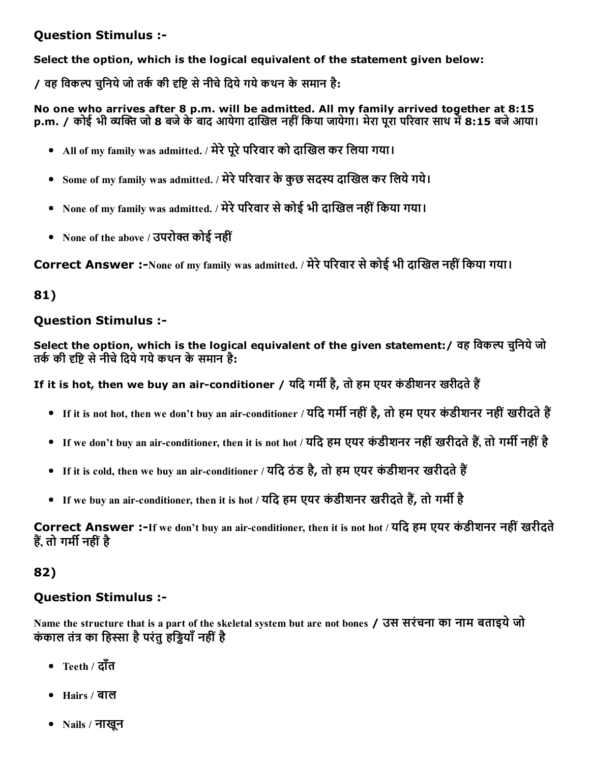#### Question Stimulus :

Select the option, which is the logical equivalent of the statement given below:

/ वह विकल्प चुनिये जो तर्क की दृष्टि से नीचे दिये गये कथन के समान है:

No one who arrives after 8 p.m. will be admitted. All my family arrived together at 8:15 p.m. / कोई भी व्यक्ति जो 8 बजे के बाद आयेगा दाखिल नहीं किया जायेगा। मेरा पूरा परिवार साथ में 8:15 बजे आया।

- All of my family was admitted. / मेरे पूरे परिवार को दाखिल कर लिया गया।
- Some of my family was admitted. / मेरे परिवार के कुछ सदस्य दाखिल कर लिये गये।
- None of my family was admitted. / मेरे परिवार से कोई भी दाखिल नहीं किया गया।
- None of the above / उपरोक्त कोई नहीं

Correct Answer :-None of my family was admitted. / मेरे परिवार से कोई भी दाखिल नहीं किया गया।

#### 81)

#### Question Stimulus :

Select the option, which is the logical equivalent of the given statement: / वह विकल्प चुनिये जो तर्क की दृष्टि से नीचे दिये गये कथन के समान है:

If it is hot, then we buy an air-conditioner / यदि गर्मी है, तो हम एयर कंडीशनर खरीदते हैं

- If it is not hot, then we don't buy an air-conditioner / यदि गर्मी नहीं है, तो हम एयर कंडीशनर नहीं खरीदते हैं
- If we don't buy an air-conditioner, then it is not hot / यदि हम एयर कंडीशनर नहीं खरीदते हैं. तो गर्मी नहीं है
- If it is cold, then we buy an air-conditioner / यदि ठंड है, तो हम एयर कंडीशनर खरीदते हैं
- If we buy an air-conditioner, then it is hot / यदि हम एयर कंडीशनर खरीदते हैं, तो गर्मी है

Correct Answer :-If we don't buy an air-conditioner, then it is not hot / यदि हम एयर कंडीशनर नहीं खरीदते हैं, तो गर्मी नहीं है

#### 82)

#### Question Stimulus :

Name the structure that is a part of the skeletal system but are not bones / उस सरंचना का नाम बताइयेजो कंकाल तंत्र का हिस्सा है परंतु हड्डियाँ नहीं है

- Teeth / दाँत
- Hairs / बाल
- Nails / नाखून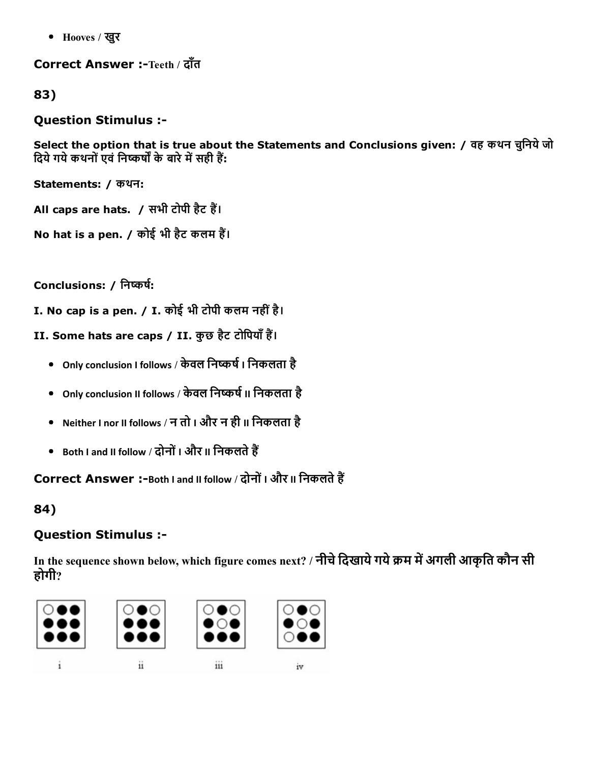Hooves / खुर

Correct Answer :-Teeth / दाँत

83)

Question Stimulus :

Select the option that is true about the Statements and Conclusions given: / वह कथन चुनिये जो दिये गये कथनों एवं निष्कर्षों के बारे में सही हैं:

Statements: / कथन:

All caps are hats. / सभी टोपी हैट हैं।

No hat is a pen. / कोई भी हैट कलम हैं।

Conclusions: / निष्कर्ष:

I. No cap is a pen. / I. कोई भी टोपी कलम नहींहै।

II. Some hats are caps / II. कुछ हैट टोपियाँ हैं।

- Only conclusion I follows / केवल निष्कर्ष I निकलता है
- Only conclusion II follows / केवल निष्कर्ष II निकलता है
- Neither I nor II follows / न तो I और न ही II िनकलता है
- Both I and II follow / दोनों I और II निकलते हैं

Correct Answer :-Both I and II follow / दोनों I और II निकलते हैं

84)

## Question Stimulus :

In the sequence shown below, which figure comes next? / नीचे दिखाये गये क्रम में अगली आकृति कौन सी होगी?

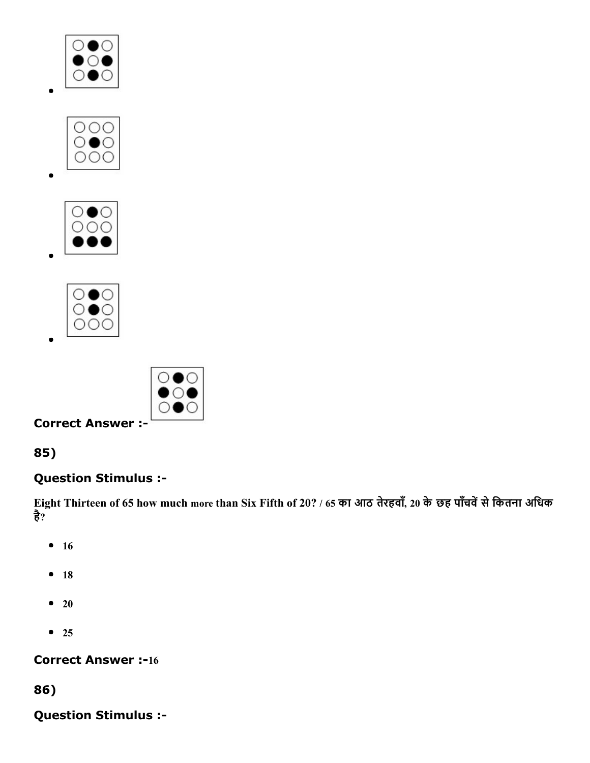









85)

# Question Stimulus :

Eight Thirteen of 65 how much more than Six Fifth of 20? / 65 का आठ तेरहवाँ, 20 के छह पाँचवें से कितना अधिक है?

- $16$
- 18
- $\bullet$  20
- $25$

## **Correct Answer :-16**

86)

Question Stimulus :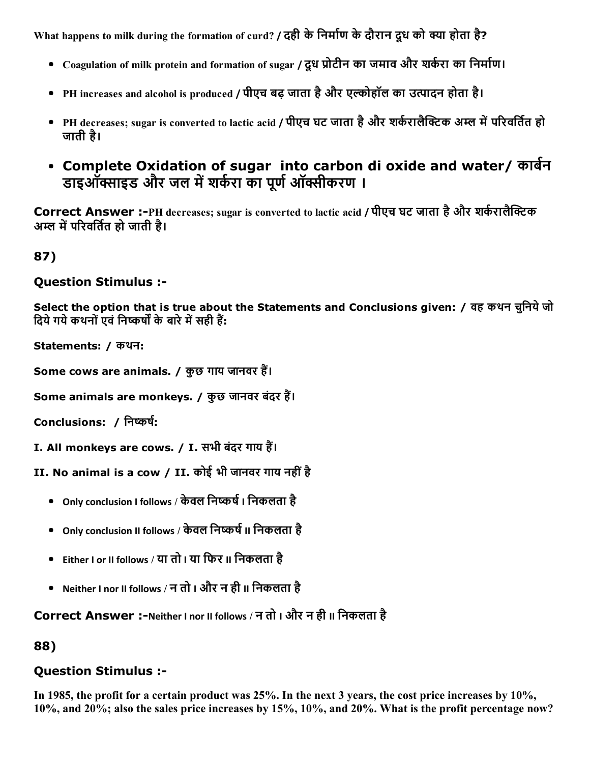What happens to milk during the formation of curd? / दही के निर्माण के दौरान दूध को क्या होता है?

- Coagulation of milk protein and formation of sugar / दूध प्रोटीन का जमाव और शर्करा का निर्माण।
- PH increases and alcohol is produced / पीएच बढ़ जाता है और एल्कोहॉल का उत्पादन होता है।
- PH decreases; sugar is converted to lactic acid / पीएच घट जाता है और शर्करालैक्टिक अम्ल में परिवर्तित हो जाती है।
- Complete Oxidation of sugar into carbon di oxide and water/ कार्बन डाइऑक्साइड और जल में शर्करा का पूर्ण ऑक्सीकरण ।

Correct Answer :-PH decreases; sugar is converted to lactic acid / पीएच घट जाता है और शर्करालैक्टिक अम्ल में परिवर्तित हो जाती है।

87)

Question Stimulus :

Select the option that is true about the Statements and Conclusions given: / वह कथन चुनिये जो दिये गये कथनों एवं निष्कर्षों के बारे में सही हैं:

Statements: / कथन:

Some cows are animals. / कुछ गाय जानवर हैं।

Some animals are monkeys. / कुछ जानवर बंदर हैं।

Conclusions: / निष्कर्ष:

I. All monkeys are cows. / I. सभी बंदर गाय हैं।

II. No animal is a cow / II. कोई भी जानवर गाय नहींहै

- Only conclusion I follows / केवल निष्कर्ष । निकलता है
- Only conclusion II follows / केवल निष्कर्ष II निकलता है
- Either I or II follows / या तो I या िफर II िनकलता है
- Neither I nor II follows / न तो I और न ही II िनकलता है

Correct Answer :-Neither I nor II follows / न तो I और न ही II निकलता है

88)

## Question Stimulus :

In 1985, the profit for a certain product was 25%. In the next 3 years, the cost price increases by 10%, 10%, and 20%; also the sales price increases by 15%, 10%, and 20%. What is the profit percentage now?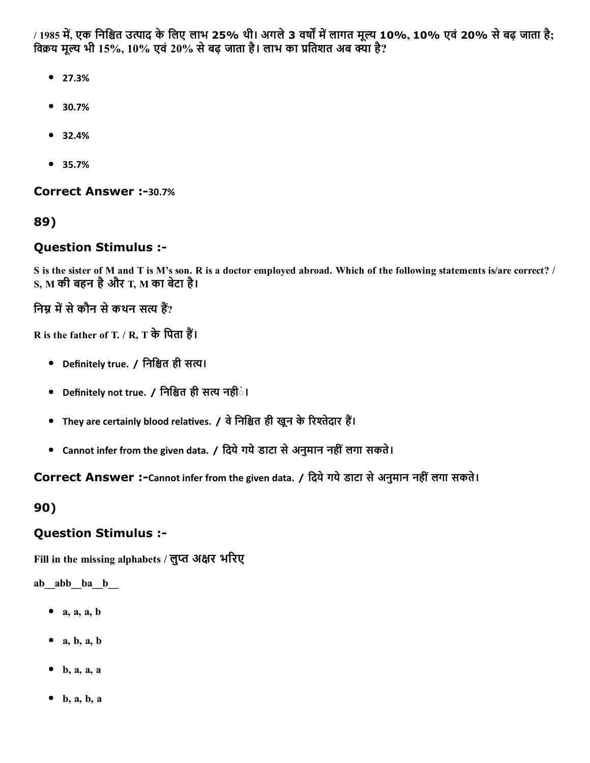/ 1985 में, एक निश्चित उत्पाद के लिए लाभ 25% थी। अगले 3 वर्षों में लागत मूल्य 10%, 10% एवं 20% से बढ़ जाता है; विक्रय मूल्य भी 15%, 10% एवं 20% से बढ़ जाता है। लाभ का प्रतिशत अब क्या है?

- 27.3%
- 30.7%
- 32.4%
- 35.7%

Correct Answer :-30.7%

89)

#### Question Stimulus :

S is the sister of M and T is M's son. R is a doctor employed abroad. Which of the following statements is/are correct? / S, M की बहन हैऔर T, M का बेटा है।

निम्न में से कौन से कथन सत्य हैं?

R is the father of T. / R, T के पिता हैं।

- Definitely true. / निश्चित ही सत्य।
- Definitely not true. / निश्चित ही सत्य नही**ं।**
- They are certainly blood relatives. / वे निश्चित ही खून के रिश्तेदार हैं।
- Cannot infer from the given data. / िदयेगयेडाटा सेअनुमान नहींलगा सकते।

Correct Answer :-Cannot infer from the given data. / दिये गये डाटा से अनुमान नहीं लगा सकते।

90)

#### Question Stimulus :

Fill in the missing alphabets / लुप्त अक्षर भरिए

ab\_abb\_ba\_b\_

- $\bullet$  a, a, a, b
- $\bullet$  a, b, a, b
- $\bullet$  b, a, a, a
- $\bullet$  b, a, b, a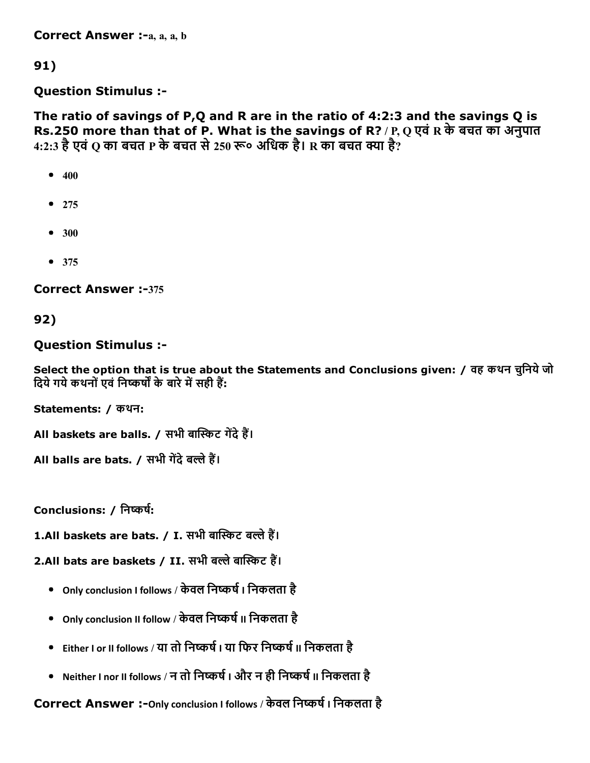Correct Answer :-a, a, a, b

91)

Question Stimulus :

The ratio of savings of P,Q and R are in the ratio of 4:2:3 and the savings Q is Rs.250 more than that of P. What is the savings of R? / P, Q एवं R के बचत का अनुपात 4:2:3 है एवं Q का बचत P के बचत से 250 रू० अधिक है। R का बचत क्या है?

- $400$
- $275$
- $300$
- $375$

**Correct Answer :-375** 

92)

Question Stimulus :

Select the option that is true about the Statements and Conclusions given: / वह कथन चुनिये जो दिये गये कथनों एवं निष्कर्षों के बारे में सही हैं:

Statements: / कथन:

All baskets are balls. / सभी बास्किट गेंदे हैं।

All balls are bats. / सभी गेंदे बल्ले हैं।

Conclusions: / निष्कर्ष:

1.All baskets are bats. / I. सभी बास्किट बल्ले हैं।

2.All bats are baskets / II. सभी बल्ले बास्किट हैं।

- Only conclusion I follows / केवल निष्कर्ष । निकलता है
- Only conclusion II follow / केवल निष्कर्ष II निकलता है
- Children I or II follows / या तो निष्कर्ष I या फिर निष्कर्ष II निकलता है: ﴿ وَاللَّهُ لَا اللَّهُ ﴾ [الله
- Neither I nor II follows / न तो निष्कर्ष I और न ही निष्कर्ष II निकलता है

Correct Answer :- Only conclusion I follows / केवल निष्कर्ष । निकलता है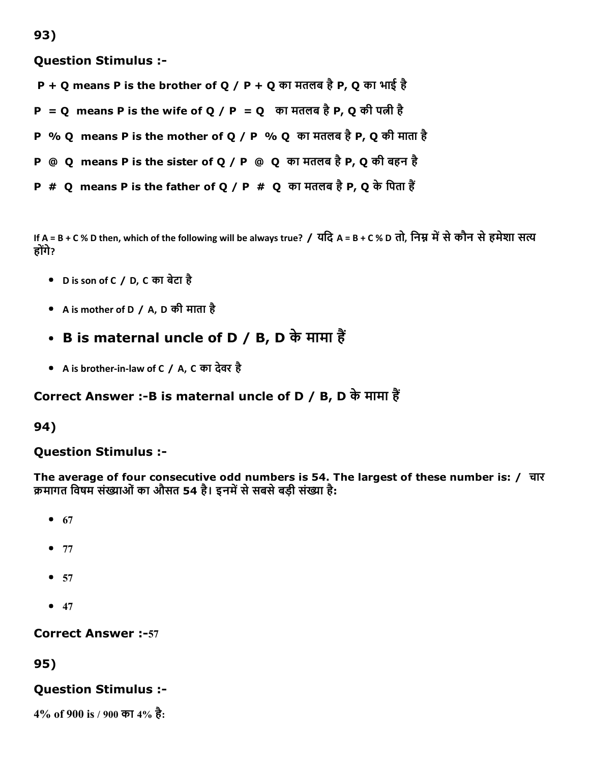Question Stimulus :

- P + Q means P is the brother of Q / P + Q का मतलब है P, Q का भाई है
- P = Q means P is the wife of Q / P = Q का मतलब है P, Q की पत्नी है
- P % Q means P is the mother of Q / P % Q का मतलब है P, Q की माता है
- **P** @ Q means P is the sister of Q / P @ Q का मतलब है P, Q की बहन है
- P  $#$  Q means P is the father of Q / P  $#$  Q का मतलब है P, Q के पिता हैं

If A = B + C % D then, which of the following will be always true? / यदि A = B + C % D तो, निम्न में से कौन से हमेशा सत्य होगंे?

- D is son of C / D, C का बेटा है
- A is mother of D / A, D की माता है
- B is maternal uncle of D / B, D के मामा हैं
- A is brother‐in‐law of C / A, C का देवर है

# Correct Answer :-B is maternal uncle of D / B, D के मामा हैं

#### 94)

## Question Stimulus :

The average of four consecutive odd numbers is 54. The largest of these number is: / चार क्रमागत विषम संख्याओं का औसत 54 है। इनमें से सबसे बड़ी संख्या है:

- $67$
- $77$
- $57$
- $47$

**Correct Answer :-57** 

## 95)

## Question Stimulus :

4% of 900 is / 900 का 4% है: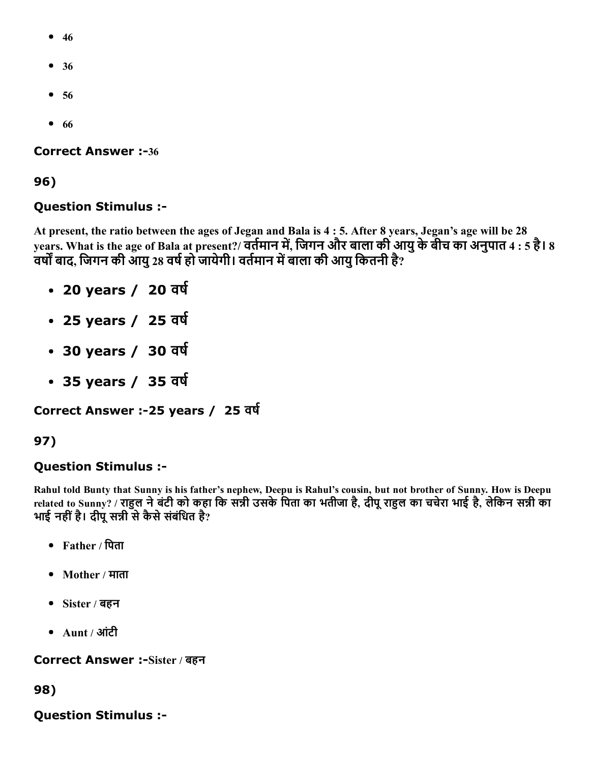- $46$
- 36
- 56
- $66$

**Correct Answer :-36** 

96)

#### Question Stimulus :

At present, the ratio between the ages of Jegan and Bala is 4 : 5. After 8 years, Jegan's age will be 28 years. What is the age of Bala at present?/ वर्तमान में, जिगन और बाला की आयु के बीच का अनुपात 4 : 5 है। 8 वर्षों बाद, जिगन की आयु 28 वर्ष हो जायेगी। वर्तमान में बाला की आयु कितनी है?

- 20 years / 20 वर्ष
- 25 years / 25 वर्ष
- 30 years / 30 वर्ष
- 35 years / 35 वर्ष

Correct Answer :-25 years / 25 वर्ष

## 97)

## Question Stimulus :

Rahul told Bunty that Sunny is his father's nephew, Deepu is Rahul's cousin, but not brother of Sunny. How is Deepu related to Sunny? / राहुल ने बंटी को कहा कि सन्नी उसके पिता का भतीजा है, दीपू राहुल का चचेरा भाई है, लेकिन सन्नी का भाई नहीं है। दीपू सन्नी से कैसे संबंधित है?

- Father / पिता
- Mother / माता
- Sister / बहन
- Aunt / आंटी

Correct Answer :-Sister / बहन

98)

Question Stimulus :